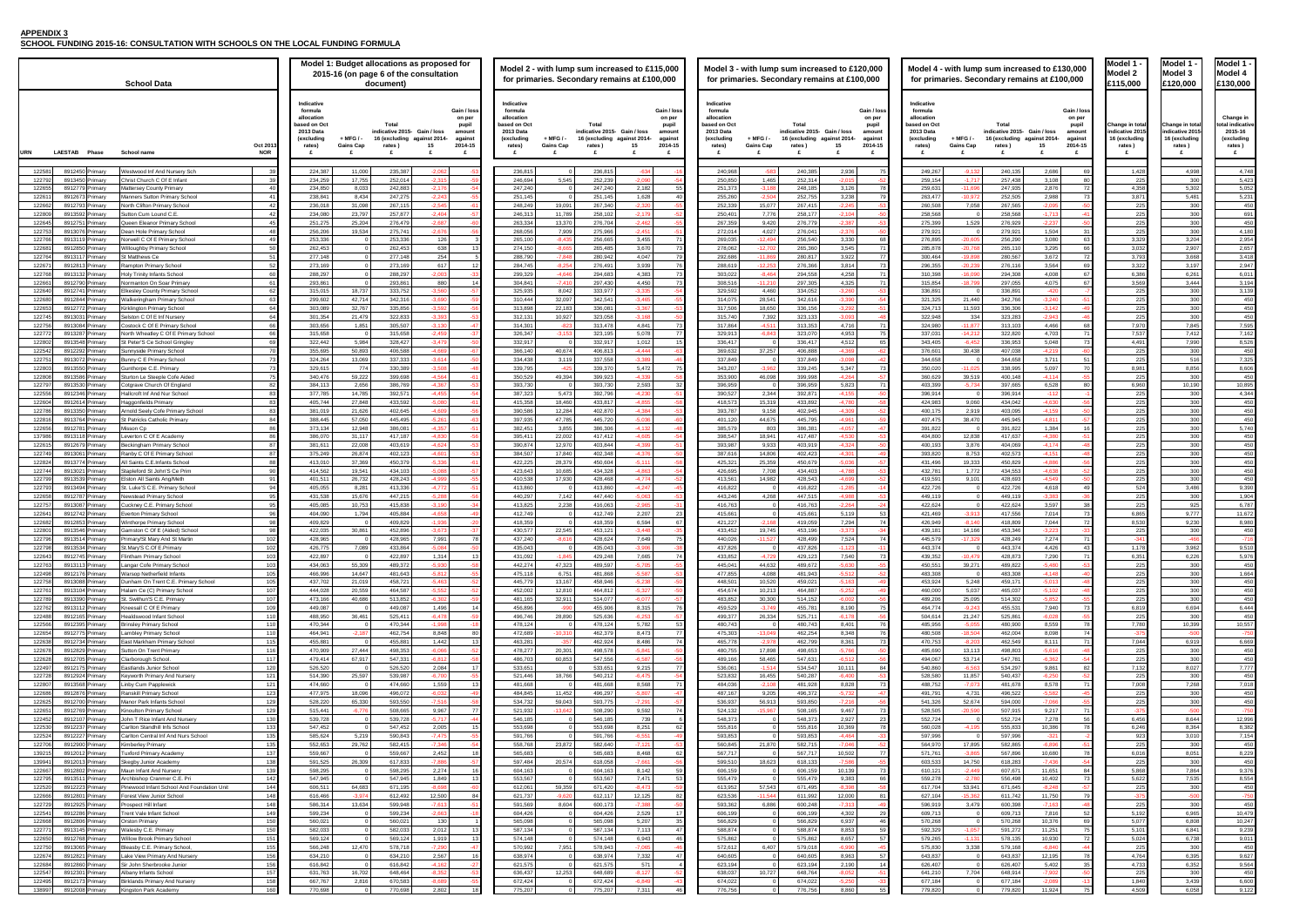## **APPENDIX 3**

**SCHOOL FUNDING 2015-16: CONSULTATION WITH SCHOOLS ON THE LOCAL FUNDING FORMULA**

| Model 1<br>odel<br>Ŋ<br>2<br>£115,000                              |  |
|--------------------------------------------------------------------|--|
|                                                                    |  |
| Change in total<br>indicative 2015<br>16 (excluding<br>rates)<br>£ |  |
| 1,428                                                              |  |
| 225                                                                |  |
| 1<br>358<br>3,871                                                  |  |
| :5<br>2<br>2                                                       |  |
| 225<br>225                                                         |  |
|                                                                    |  |
| 3,329<br>3,032                                                     |  |
| 793<br>š                                                           |  |
| 3,322                                                              |  |
| 6,<br>386<br>569<br>3.                                             |  |
| 5<br>2<br>2<br>225                                                 |  |
| 225                                                                |  |
| 25<br>970<br>7                                                     |  |
| ,537<br>7                                                          |  |
| $\overline{4}$<br>491                                              |  |
| 225<br>25                                                          |  |
| 8,981                                                              |  |
| 25<br>6,960                                                        |  |
| 225                                                                |  |
| ţ<br>١<br>225                                                      |  |
| 25<br>2                                                            |  |
| 22<br>ī<br>225                                                     |  |
| ١                                                                  |  |
| 225<br>2<br>5                                                      |  |
| 22<br>ī                                                            |  |
| 225<br>5<br>$\overline{4}$                                         |  |
| 225                                                                |  |
| 25<br>2<br>6,<br>865                                               |  |
| 8,530<br>25                                                        |  |
| ş,<br>ţ.<br>1                                                      |  |
| 351<br>6                                                           |  |
| י                                                                  |  |
| 22                                                                 |  |
| ١                                                                  |  |
|                                                                    |  |
| 6<br>819                                                           |  |
| '80<br>ı<br>ı                                                      |  |
| Ï<br>44                                                            |  |
| ì<br>Þ.                                                            |  |
| 132<br>í                                                           |  |
| 25                                                                 |  |
| I<br>x<br>$\mathfrak{z}$                                           |  |
|                                                                    |  |
| 6<br>456                                                           |  |
| 24<br>б<br>92<br>١                                                 |  |
|                                                                    |  |
| 6<br>016<br>2<br>١                                                 |  |
| 868                                                                |  |
| 5,62                                                               |  |
|                                                                    |  |
| 225<br>192                                                         |  |
| ţ<br>5,077                                                         |  |
| 101<br>024                                                         |  |
| 225                                                                |  |
| 4<br>΄6<br>1<br>4<br>ŝ                                             |  |
|                                                                    |  |
| 1<br>840<br>١<br>509<br>٦                                          |  |

| Model 1<br><b>Aodel</b><br>N                     |  |  |  |  |  |  |
|--------------------------------------------------|--|--|--|--|--|--|
| £120,000                                         |  |  |  |  |  |  |
| Change in total                                  |  |  |  |  |  |  |
| indicative 2015<br>16 (excluding<br>rates )<br>£ |  |  |  |  |  |  |
| 4,998                                            |  |  |  |  |  |  |
| 300<br>šĆ<br>J                                   |  |  |  |  |  |  |
| 5,481                                            |  |  |  |  |  |  |
| $\frac{300}{2}$<br>300                           |  |  |  |  |  |  |
| 300<br>30<br>)(                                  |  |  |  |  |  |  |
| 3,204                                            |  |  |  |  |  |  |
| 2,907<br>668<br>3                                |  |  |  |  |  |  |
| 3,197                                            |  |  |  |  |  |  |
| 6,<br>261<br>3,444                               |  |  |  |  |  |  |
| 300<br>300                                       |  |  |  |  |  |  |
| 300                                              |  |  |  |  |  |  |
| 800<br>845<br>7                                  |  |  |  |  |  |  |
| 412<br>7                                         |  |  |  |  |  |  |
| 990<br>7<br>300                                  |  |  |  |  |  |  |
| 516<br>8,856                                     |  |  |  |  |  |  |
| 300                                              |  |  |  |  |  |  |
| 10,<br>190<br>300                                |  |  |  |  |  |  |
| 300                                              |  |  |  |  |  |  |
| 300<br>300                                       |  |  |  |  |  |  |
| 300                                              |  |  |  |  |  |  |
| 300<br>800                                       |  |  |  |  |  |  |
| 300<br>í<br>300                                  |  |  |  |  |  |  |
| 300                                              |  |  |  |  |  |  |
| 300<br>3,<br>486                                 |  |  |  |  |  |  |
| 300<br>925                                       |  |  |  |  |  |  |
| 9.<br>7<br>I<br>ı                                |  |  |  |  |  |  |
| 9,230<br>300<br>J                                |  |  |  |  |  |  |
| $-466$                                           |  |  |  |  |  |  |
| 6<br>ŧ                                           |  |  |  |  |  |  |
| 3<br>X<br>١<br>30<br>X                           |  |  |  |  |  |  |
| 30<br>١                                          |  |  |  |  |  |  |
| 30<br>J<br>30<br>X                               |  |  |  |  |  |  |
| 6<br>69<br>1<br>30<br>X<br>J                     |  |  |  |  |  |  |
| 10<br>399<br>٦                                   |  |  |  |  |  |  |
| I<br>919<br>١                                    |  |  |  |  |  |  |
| 300<br>J<br>X<br>30                              |  |  |  |  |  |  |
| 8<br>I<br>)2<br>ı                                |  |  |  |  |  |  |
| 300<br>268                                       |  |  |  |  |  |  |
| 31<br>)(<br>1                                    |  |  |  |  |  |  |
| 30<br>X                                          |  |  |  |  |  |  |
| 6<br>4<br>8<br>1<br>l<br>١<br>86<br>į            |  |  |  |  |  |  |
| 3,0<br>)1(<br>١                                  |  |  |  |  |  |  |
| 80<br>051<br>8                                   |  |  |  |  |  |  |
| 300<br>l<br>36<br>4                              |  |  |  |  |  |  |
| 35<br>5.                                         |  |  |  |  |  |  |
| 30<br>X<br>51<br>X                               |  |  |  |  |  |  |
| ă<br>300<br>96<br>6                              |  |  |  |  |  |  |
| 6,80<br>X<br>ì                                   |  |  |  |  |  |  |
| l<br>6<br>38<br>6<br>$\overline{1}$              |  |  |  |  |  |  |
| 300                                              |  |  |  |  |  |  |
| l.<br>١<br>39<br>S<br>6<br>5.                    |  |  |  |  |  |  |
| X<br>3<br>$\overline{A}$<br>39                   |  |  |  |  |  |  |
| 058<br>6                                         |  |  |  |  |  |  |

|                   | <b>Model 1</b><br>Model 4                                             |
|-------------------|-----------------------------------------------------------------------|
|                   | 130,000:                                                              |
| al<br>15<br>g     | Change in<br>total indicative<br>2015-16<br>(excluding<br>rates)<br>£ |
|                   |                                                                       |
| 8<br>0            | 4,748<br>5,423                                                        |
| 2                 | 5,052                                                                 |
| 1<br>0            | 31<br>450                                                             |
| 0                 | 691                                                                   |
| 0<br>0            | 450<br>4,180                                                          |
| $\overline{4}$    | 2,<br>954                                                             |
| 7<br>8            | 2,657<br>3,418                                                        |
| 7                 | 2.947                                                                 |
| 1<br>4            | 6,011<br>3,194                                                        |
| 0                 | 3,139                                                                 |
| 0<br>0            | 450<br>450                                                            |
| 0                 | 450                                                                   |
| 5                 | 7,595<br>7,162                                                        |
| 0                 | 8,526                                                                 |
| 0<br>6            | 450                                                                   |
| 6                 | 7,325<br>8,606                                                        |
| 0                 | 450                                                                   |
| 0<br>0            | 10,895<br>4,344                                                       |
| 0                 | 450                                                                   |
| 0<br>0            | 450<br>450                                                            |
| 0                 | 5,740                                                                 |
| 0<br>0            | 450<br>450                                                            |
| 0                 | 450                                                                   |
| 0<br>0            | 450<br>450                                                            |
| 0                 | 450                                                                   |
| 6<br>0            | 9,390<br>1,904                                                        |
| 5                 | 6,787                                                                 |
| 7<br>0            | 1<br>1<br>,67<br>8,980                                                |
| 0                 | 450                                                                   |
| $\overline{c}$    |                                                                       |
| 6                 | 9,510<br>5,976                                                        |
| Ō                 | 450                                                                   |
| 0<br>0            | 1,664<br>450                                                          |
| 0                 | 450                                                                   |
| 0<br>4            | 450<br>6<br>444                                                       |
| 0                 | 450                                                                   |
| 9<br>0            | 557<br>1<br>0<br>75<br>50                                             |
| 9                 | 6,669                                                                 |
| Ō<br>0            | 450<br>450                                                            |
| 7                 | 7<br>7                                                                |
| 0<br>8            | 450                                                                   |
| 0                 | 018<br>ï<br>450                                                       |
| 0                 | 450                                                                   |
| Ò<br>4            | 12,996                                                                |
| 4                 | 8,382                                                                 |
| 0<br>0            | 154<br>7.<br>450                                                      |
| 1                 | 8,<br>229                                                             |
| 0<br>4            | 450<br>376<br>9,                                                      |
| 5                 | 554<br>8                                                              |
| 0<br>$\mathbf{0}$ | 450                                                                   |
| 0                 | 450                                                                   |
| 5                 | 479<br>10,                                                            |
| 8<br>1            | 10,247<br>9,239                                                       |
| 8                 | 9,011                                                                 |
| 0                 | 450<br>9,62<br>ı                                                      |
| 5                 |                                                                       |
| $\overline{c}$    | 564<br>9                                                              |
| 0<br>9            | 450<br>6,600                                                          |

| <b>School Data</b>                                           |  |                                                                                                                                                                                                                                                                                         | Model 1: Budget allocations as proposed for<br>2015-16 (on page 6 of the consultation<br>document)                                                                                                                                                                                    | Model 2 - with lump sum increased to £115,000<br>for primaries. Secondary remains at £100,000                                                                                                                                                                                            | Model 3 - with lump sum increased to £120,000<br>for primaries. Secondary remains at £100,000                                                                                                                                                                                                     | Model 4 - with lump sum increased to £130,000<br>for primaries. Secondary remains at £100,000           | Model 1<br>Model 2<br>£115,000                                                                     | Model 1<br>Model 3<br>£120,000                                      | Model 1<br>Model 4<br>£130,000 |                  |
|--------------------------------------------------------------|--|-----------------------------------------------------------------------------------------------------------------------------------------------------------------------------------------------------------------------------------------------------------------------------------------|---------------------------------------------------------------------------------------------------------------------------------------------------------------------------------------------------------------------------------------------------------------------------------------|------------------------------------------------------------------------------------------------------------------------------------------------------------------------------------------------------------------------------------------------------------------------------------------|---------------------------------------------------------------------------------------------------------------------------------------------------------------------------------------------------------------------------------------------------------------------------------------------------|---------------------------------------------------------------------------------------------------------|----------------------------------------------------------------------------------------------------|---------------------------------------------------------------------|--------------------------------|------------------|
| Oct 201<br>URN<br>LAESTAB Phase<br>School name<br><b>NOR</b> |  | Indicative<br>formula<br>Gain / los<br>allocation<br>on per<br>ased on Oct<br>Total<br>pupil<br>2013 Data<br>indicative 2015 Gain / loss<br>amount<br>(excluding<br>+ MFG / -<br>16 (excluding<br>against 2014-<br>agains<br><b>Gains Cap</b><br>2014-15<br>15<br>rates)<br>rates)<br>£ | Indicative<br>Gain / los<br>formula<br>allocation<br>on per<br>ased on Oct<br>Total<br>pupil<br>2013 Data<br>indicative 2015 Gain / loss<br>amoun<br>$+$ MFG $/$<br>(excluding<br>16 (excluding against 2014<br>against<br>2014-15<br><b>Gains Cap</b><br>15<br>rates)<br>rates)<br>£ | Indicative<br>Gain / los<br>formula<br>allocation<br>on per<br>ased on Oct<br>Total<br>pupil<br>2013 Data<br>indicative 2015 Gain / loss<br>amount<br>(excluding<br>+ MFG / -<br>16 (excluding<br>against 2014-<br>against<br><b>Gains Cap</b><br>15<br>2014-15<br>rates)<br>rates)<br>£ | Indicative<br>Gain / los<br>formula<br>allocatior<br>on per<br>pased on Oct<br>Tota<br>pupil<br><b>2013 Data</b><br>indicative 2015 Gain / loss<br>amount<br>(excluding<br>+ MFG / -<br>16 (excluding against 2014-<br>against<br>2014-15<br><b>Gains Cap</b><br>15<br>rates)<br>rates)<br>£<br>£ | Change in tota<br>ndicative 201<br>∣6 (excluding<br>rates)<br>£                                         | Change in tot<br>ndicative 201<br>l6 (excluding<br>rates )<br>£                                    | Change ir<br>tal indicative<br>2015-16<br>(excluding<br>rates)<br>£ |                                |                  |
| 8912450 Primary<br>122581<br>8913450 Primary<br>122792       |  | <b>Nestwood Inf And Nurserv Sch</b><br>Christ Church C Of E Infant                                                                                                                                                                                                                      | -39<br>39                                                                                                                                                                                                                                                                             | 224,387<br>11,000<br>235,387<br>$-2.062$<br>17,75<br>252,014<br>$-2.315$<br>234,259                                                                                                                                                                                                      | 236,815<br>236,815<br>$-634$<br>246.69<br>5,545<br>252,239<br>$-2.09$                                                                                                                                                                                                                             | 240,385<br>240,968<br>$-583$<br>2,936<br>250,850<br>1,465<br>252,314<br>$-2.01$                         | 249,267<br>$-9.13$<br>240,135<br>2,686<br>259,154<br>$-1.71$<br>257,438<br>3,108<br>-80            | 1,428<br>225                                                        | 4,998<br>300                   | 4.748<br>5,423   |
| 122655<br>8912779 Primary                                    |  | Mattersey County Primary                                                                                                                                                                                                                                                                | $\Delta$                                                                                                                                                                                                                                                                              | 242,883<br>234,850<br>8.033<br>$-2.176$                                                                                                                                                                                                                                                  | 247.240<br>247,240<br>2.182                                                                                                                                                                                                                                                                       | 251,373<br>248,185<br>3,126<br>$-3.188$                                                                 | 247.935<br>259.631<br>2,876<br>$-11.69$                                                            | 4.358                                                               | 5,302                          | 5,052            |
| 12261<br>8912673 Primary<br>122662<br>8912793 Primary        |  | anners Sutton Primary School<br><b>North Clifton Primary School</b>                                                                                                                                                                                                                     | $\overline{4}$<br>42                                                                                                                                                                                                                                                                  | 238,841<br>8,434<br>247,27<br>$-2,243$<br>236,018<br>31,098<br>267,11<br>$-2,545$                                                                                                                                                                                                        | 251,14<br>251,145<br>1.628<br>248,249<br>19,091<br>267,340<br>$-2,32$                                                                                                                                                                                                                             | 255,260<br>$-2.504$<br>252,755<br>3,238<br>15,077<br>267,415<br>252,339<br>$-2,245$                     | 2,988<br>263,477<br>$-10.97$<br>252,505<br>260,508<br>7,058<br>267,565<br>$-2,095$<br>-5           | 3,87'<br>225                                                        | 5,481<br>300                   | 5,231<br>450     |
| 122809<br>8913592 Primary                                    |  | Sutton Cum Lound C.E                                                                                                                                                                                                                                                                    | 42                                                                                                                                                                                                                                                                                    | 257.877<br>$-2.404$<br>234.080<br>23.797                                                                                                                                                                                                                                                 | 246,313<br>258,102<br>11.789<br>$-2.179$                                                                                                                                                                                                                                                          | 7.776<br>258.177<br>$-2.104$<br>250.401                                                                 | 258,568<br>258,568<br>$-1.713$                                                                     | 225                                                                 | 300                            | 691              |
| 122645<br>8912751 Primary<br>122753<br>8913076 Primary       |  | lueen Eleanor Primary School<br>ean Hole Primary School                                                                                                                                                                                                                                 | 45<br>$\Delta$                                                                                                                                                                                                                                                                        | 25,204<br>276,47<br>$-2.687$<br>251,27<br>19,534<br>275,741<br>256,206<br>$-2.67$                                                                                                                                                                                                        | 263,334<br>276,704<br>13,370<br>$-2.46$<br>268,056<br>275,966<br>7,909<br>$-2.45$                                                                                                                                                                                                                 | 267,359<br>9,420<br>276,779<br>$-2.38$<br>272,014<br>4,027<br>276,041<br>-237                           | 275,399<br>1,529<br>276,92<br>$-2,237$<br>1,504<br>279,921<br>279,921                              | 225<br>-22                                                          | 300<br>300                     | 450<br>4,180     |
| 122766<br>8913119 Primary                                    |  | orwell C Of E Primary School                                                                                                                                                                                                                                                            | $\overline{4}$                                                                                                                                                                                                                                                                        | 253.336<br>253,336<br>126                                                                                                                                                                                                                                                                | 265,10<br>$-8.435$<br>256.665<br>3,455                                                                                                                                                                                                                                                            | $-12.494$<br>256.540<br>269,035<br>3.330                                                                | 276.895<br>$-20.60$<br>3,080<br>256,290                                                            | 3,329                                                               | 3,204                          | 2,954            |
| 122681<br>8912850 Primary<br>122764<br>8913117 Primary       |  | <b>Villoughby Primary School</b><br>Matthews Ce                                                                                                                                                                                                                                         | 50<br>51                                                                                                                                                                                                                                                                              | 638<br>262,453<br>262,453<br>277.148<br>254<br>277.148                                                                                                                                                                                                                                   | 274,15<br>$-8.665$<br>265,485<br>3,670<br>280,942<br>4.047<br>288,790<br>$-7.841$                                                                                                                                                                                                                 | $-12,702$<br>265,360<br>3,545<br>278,062<br>7'<br>$-11,869$<br>280,817<br>292,686<br>3,922              | 3,295<br>285,878<br>$-20,76$<br>265,110<br>66<br>$-19.89$<br>280,567<br>3,672<br>300.464           | 3,032<br>3,793                                                      | 2,907<br>3,668                 | 2,657<br>3.418   |
| 122671<br>8912813 Primary                                    |  | ampton Primary School                                                                                                                                                                                                                                                                   | -52                                                                                                                                                                                                                                                                                   | 273,169<br>273,169<br>617                                                                                                                                                                                                                                                                | 284,74<br>276,491<br>3,939<br>$-8.25$                                                                                                                                                                                                                                                             | 288,619<br>$-12,253$<br>276,366<br>3,814                                                                | 296,355<br>$-20.23$<br>276,116<br>3,564<br>69                                                      | 3,322                                                               | 3,197                          | 2,947            |
| 122768<br>8913132 Primary<br>122661<br>3912790               |  | <b>Holy Trinity Infants School</b><br>manton On Soar Primary                                                                                                                                                                                                                            | 60<br>-61                                                                                                                                                                                                                                                                             | 288,297<br>288,297<br>$-2.00$<br>293,861<br>293,86<br>880                                                                                                                                                                                                                                | 299,329<br>294,683<br>4,383<br>$-4,646$<br>304,84<br>$-7.41$<br>297,430<br>4,450                                                                                                                                                                                                                  | 303,022<br>$-8,464$<br>294,558<br>4,258<br>$-11,21$<br>297,305<br>4,325<br>308,516                      | 310,398<br>294,308<br>4,008<br>$-16.0$<br>- 67<br>4,075<br>315,854<br>$-18.79$<br>297,05           | 6,386<br>3,56                                                       | 6,261<br>3,444                 | 6,011<br>3,194   |
| 122640<br>8912741 Primary                                    |  | Ikesley County Primary School                                                                                                                                                                                                                                                           | - 62                                                                                                                                                                                                                                                                                  | 333,752<br>315,015<br>18,737<br>$-3.560$                                                                                                                                                                                                                                                 | 333,977<br>325,93<br>8,042<br>$-3.33$                                                                                                                                                                                                                                                             | 4,460<br>334,052<br>329,592<br>$-3.26$                                                                  | 336,891<br>336,891<br>$-420$                                                                       | 225                                                                 | 300                            | 3,139            |
| 122680<br>8912844 Primary<br>8912772 Primary                 |  | <b>Nalkeringham Primary School</b>                                                                                                                                                                                                                                                      | 63<br>64                                                                                                                                                                                                                                                                              | 42.714<br>342,316<br>$-3.690$<br>299.602<br>32,767<br>335,856<br>$-3.59$<br>303,08                                                                                                                                                                                                       | 310,444<br>32.097<br>342.541<br>$-3.46$<br>313,89<br>22,183<br>336.081<br>$-3.36$                                                                                                                                                                                                                 | 314.075<br>28.541<br>342.616<br>$-3.390$<br>317,506<br>18.650<br>336,156<br>$-3.292$                    | 321.325<br>21,440<br>342,766<br>$-3.240$<br>324,713<br>11,593<br>336,306<br>$-3.142$               | 225                                                                 | 300<br>300                     | 450<br>450       |
| 122653<br>122745<br>8913031 Primary                          |  | Kirklington Primary School<br>elston C Of E Inf Nursery                                                                                                                                                                                                                                 | - 64                                                                                                                                                                                                                                                                                  | 322,83<br>301,354<br>21,479<br>$-3,393$                                                                                                                                                                                                                                                  | 312,13<br>10,927<br>323,058<br>$-3,16$                                                                                                                                                                                                                                                            | 315,740<br>7,392<br>323,133<br>-3.09                                                                    | 322,948<br>323,283<br>$-2,943$<br>334                                                              | 225<br>225                                                          | 300                            | 450              |
| 122756<br>8913084 Primary                                    |  | ostock C Of E Primary School                                                                                                                                                                                                                                                            | 66                                                                                                                                                                                                                                                                                    | $-3.130$<br>303.656<br>1,851<br>305.50                                                                                                                                                                                                                                                   | 314,30<br>313,478<br>4,841<br>$-821$                                                                                                                                                                                                                                                              | 313,353<br>4,716<br>317,864<br>$-4.51'$                                                                 | 324,980<br>$-11.87$<br>4,466<br>313,103                                                            | 7,97                                                                | 7,845                          | 7.595            |
| 122772<br>8913287 Primary<br>122802<br>8913548 Primary       |  | Vorth Wheatley C Of E Primary School<br>t Peter'S Ce School Gringley                                                                                                                                                                                                                    | - 61<br>69                                                                                                                                                                                                                                                                            | 315,658<br>$-2.459$<br>315.658<br>322,442<br>5,984<br>328,427<br>$-3.479$                                                                                                                                                                                                                | 326,347<br>323.195<br>5.078<br>$-3.15$<br>332,917<br>332,917<br>1,012                                                                                                                                                                                                                             | 329,913<br>$-6.843$<br>323.070<br>4.953<br>336,417<br>4,512<br>336,417                                  | 337.031<br>$-14.21$<br>322,820<br>4.703<br>71<br>336,953<br>5,048<br>343.405<br>$-6.45$            | 7.53<br>4,491                                                       | 7.412<br>7,990                 | 7.162<br>8,526   |
| 122542<br>8912292 Primary                                    |  | Sunnyside Primary School                                                                                                                                                                                                                                                                | 7 <sup>7</sup>                                                                                                                                                                                                                                                                        | 50,893<br>406,588<br>$-4.669$<br>355,695                                                                                                                                                                                                                                                 | 366,14<br>40,674<br>406,813<br>$-4.44$                                                                                                                                                                                                                                                            | 369,632<br>37,257<br>406,888<br>$-4.369$                                                                | 376,601<br>30,438<br>407,038<br>$-4.219$                                                           | 225                                                                 | 300                            | 450              |
| 122751<br>8913072 Primary<br>122803<br>3913550               |  | Junny C E Primary School<br>nthorpe C.E. Primary                                                                                                                                                                                                                                        | - 73                                                                                                                                                                                                                                                                                  | 337,333<br>324,264<br>13,069<br>$-3,614$<br>$-3.508$<br>329,61<br>774<br>330,38                                                                                                                                                                                                          | 334,438<br>337,558<br>3,119<br>$-3.3$<br>339,79<br>339,37<br>5,472<br>$-42$                                                                                                                                                                                                                       | 337,849<br>337,849<br>$-3.09$<br>339,245<br>5,347<br>343,207<br>$-3.962$                                | 3,711<br>344,658<br>344,658<br>-51<br>350,020<br>5,097<br>$-11.02$<br>338,99                       | 225<br>8,98                                                         | 516<br>8,856                   | 7,325<br>8,606   |
| 122808<br>8913586 Primary                                    |  | Sturton Le Steeple Cofe Aided                                                                                                                                                                                                                                                           | 75                                                                                                                                                                                                                                                                                    | 340,476<br>59,222<br>399,698<br>$-4.564$                                                                                                                                                                                                                                                 | 350,529<br>49,394<br>399.923<br>$-4.33$                                                                                                                                                                                                                                                           | 353,900<br>46.098<br>399.998<br>$-4.264$                                                                | 360.629<br>39,519<br>400.148<br>$-4.114$                                                           | 225                                                                 | 300                            | 450              |
| 122797<br>8913530 Primary<br>122556<br>8912346 Primary       |  | Cotgrave Church Of England<br>Hallcroft Inf And Nur School                                                                                                                                                                                                                              | -82<br>-83                                                                                                                                                                                                                                                                            | 384.113<br>386,769<br>$-4.367$<br>2.656<br>377,78<br>14,78<br>392,57<br>$-4.45$                                                                                                                                                                                                          | 393,730<br>393.730<br>2.593<br>387,32<br>5,473<br>392,796<br>$-4.23$                                                                                                                                                                                                                              | 396.959<br>396.959<br>5.823<br>$\bigcap$<br>390,527<br>2,344<br>392,871<br>$-415$                       | 403.399<br>$-5.73$<br>397.665<br>6.528<br>-80<br>396,914<br>396,91<br>$-112$                       | 6,960<br>-22                                                        | 10.190<br>300                  | 10.895<br>4,344  |
| 122604<br>8912614 Primary                                    |  | aggonfields Primar                                                                                                                                                                                                                                                                      | -83                                                                                                                                                                                                                                                                                   | 405,744<br>27,848<br>433,59<br>$-5,08$                                                                                                                                                                                                                                                   | 415,358<br>18,460<br>433,817<br>$-4.85$                                                                                                                                                                                                                                                           | 15,319<br>418,573<br>433,892<br>$-4.78$                                                                 | 424,983<br>9,060<br>434,042<br>$-4,630$                                                            | 225                                                                 | 300                            | 450              |
| 122786<br>8913350 Primary<br>122816<br>8913764 Primary       |  | rnold Seely Cofe Primary School<br>It Patricks Catholic Primary                                                                                                                                                                                                                         | -83<br>84                                                                                                                                                                                                                                                                             | 381.019<br>21,626<br>402.645<br>$-4.60$<br>57.050<br>445.495<br>$-5.261$<br>388,445                                                                                                                                                                                                      | 390.58<br>12,284<br>402.870<br>$-4.38$<br>397.935<br>47.785<br>445.720<br>$-5.03$                                                                                                                                                                                                                 | 9.158<br>402.945<br>393,787<br>$-4.30$<br>44.675<br>445.795<br>401.120<br>$-4.961$                      | 400.175<br>$-4.159$<br>2,919<br>403.095<br>407.475<br>38,470<br>445.945<br>$-4.811$                | 225                                                                 | 30<br>300                      | 450<br>450       |
| 122656<br>8912781 Primary                                    |  | isson Co                                                                                                                                                                                                                                                                                | -86                                                                                                                                                                                                                                                                                   | 373,134<br>12,948<br>386,081<br>$-4.357$                                                                                                                                                                                                                                                 | 382,451<br>3,855<br>386,306<br>$-4.13$                                                                                                                                                                                                                                                            | 386,381<br>385,579<br>803<br>$-4.05$                                                                    | 1,384<br>391.822<br>391.822                                                                        | 225                                                                 | 300                            | 5.740            |
| 137986<br>8913118 Primary<br>122615<br>8912679 Primary       |  | everton C Of E Academy<br>leckingham Primary School                                                                                                                                                                                                                                     | - 86<br>-87                                                                                                                                                                                                                                                                           | 31,11<br>417,187<br>$-4.830$<br>386,070<br>403,619<br>381,611<br>22,008<br>$-4.624$                                                                                                                                                                                                      | 395,41<br>22,002<br>417.412<br>$-4.60$<br>390,874<br>12,970<br>403,844<br>$-4.3$                                                                                                                                                                                                                  | 398,547<br>18,941<br>417.487<br>$-4.530$<br>393,987<br>9,933<br>403,919<br>$-4.32$                      | 404.800<br>12,838<br>417,637<br>$-4.380$<br>400,193<br>3,876<br>404,069<br>$-4,174$                | 225<br>225                                                          | 300<br>300                     | 450<br>450       |
| 122749<br>3913061F                                           |  | anby C Of E Primary School                                                                                                                                                                                                                                                              | -8                                                                                                                                                                                                                                                                                    | $-4.60$<br>375,249<br>26,874<br>402,12                                                                                                                                                                                                                                                   | 402.348<br>384,50<br>17,840<br>$-4.3$                                                                                                                                                                                                                                                             | 14,806<br>402,423<br>$-4.30$<br>387,616                                                                 | $-4.151$<br>393,820<br>8,75<br>402,57                                                              |                                                                     |                                | 450              |
| 8913774 Primary<br>122824<br>122744<br>8913021 Primary       |  | Il Saints C.E.Infants School<br>Stapleford St John'S Ce Prim                                                                                                                                                                                                                            | -88<br>90                                                                                                                                                                                                                                                                             | 413.010<br>37,369<br>450.379<br>$-5.336$<br>19.541<br>434.103<br>$-5.088$<br>414.562                                                                                                                                                                                                     | 422,225<br>28,379<br>450.604<br>$-5.11$<br>423.643<br>10.685<br>434.328<br>$-4.86$                                                                                                                                                                                                                | 425.321<br>25.359<br>450.679<br>$-5.03$<br>426.695<br>7.708<br>434.403<br>$-4.788$                      | 431.496<br>19,333<br>450,829<br>$-4.886$<br>432.781<br>1.772<br>434.553<br>$-4.638$                | 225<br>225                                                          | 300<br>300                     | 450<br>450       |
| 122799<br>8913539 Primary                                    |  | Iston All Saints Ang/Meth                                                                                                                                                                                                                                                               | 91                                                                                                                                                                                                                                                                                    | 26,73<br>$-4.999$<br>401,51<br>428,24                                                                                                                                                                                                                                                    | 410,53<br>17,930<br>428,468<br>$-4.77$                                                                                                                                                                                                                                                            | 413,561<br>14,982<br>428,543<br>$-469$                                                                  | 419.591<br>9,101<br>428,693<br>$-4.549$                                                            | 225                                                                 | 300                            | 450              |
| 122793<br>8913494 Primary<br>122658<br>8912787 Primary       |  | Luke'S C.E. Primary School<br>wstead Primary School                                                                                                                                                                                                                                     | 94<br>95                                                                                                                                                                                                                                                                              | 405,055<br>413,336<br>8,281<br>$-4,772$<br>431.538<br>15.676<br>447.21<br>$-5.28$                                                                                                                                                                                                        | 413,860<br>413,860<br>$-4,24$<br>440.29<br>7,142<br>447.440<br>$-5.06$                                                                                                                                                                                                                            | 416,822<br>416,822<br>$\Omega$<br>-1.28<br>4,268<br>447.515<br>443,246<br>$-4.98$                       | 4,618<br>422,726<br>422,726<br>- 49<br>449.119<br>$-3.383$<br>449.11                               | 524                                                                 | 3,486<br>30                    | 9,390<br>1.904   |
| 122757<br>8913087 Primary                                    |  | uckney C.E. Primary School                                                                                                                                                                                                                                                              | - 95                                                                                                                                                                                                                                                                                  | 415,838<br>$-3.190$<br>405.085<br>10,753                                                                                                                                                                                                                                                 | 413.82<br>2,238<br>416,063<br>$-2.96$                                                                                                                                                                                                                                                             | 416,763<br>416,763<br>$-2.264$<br>$\sqrt{ }$                                                            | 422.624<br>422.624<br>3.597                                                                        | 225                                                                 | 92                             | 6.787            |
| 122641<br>8912742 Primary                                    |  | verton Primary School                                                                                                                                                                                                                                                                   | 96<br>98                                                                                                                                                                                                                                                                              | 404,090<br>1,794<br>405.884<br>$-4.658$<br>$-1.936$                                                                                                                                                                                                                                      | 412,749<br>412.749<br>2,207                                                                                                                                                                                                                                                                       | 415,661<br>415,661<br>5,119<br>-52<br>$\Omega$<br>$-2.168$                                              | 7,014<br>421.469<br>$-3,91$<br>417.556<br>$-8.14$                                                  | 6,865                                                               | 9,777                          | 11,672           |
| 122682<br>8912853 Primary<br>122801<br>8913546 Primary       |  | /inthorpe Primary School<br>Gamston C Of E (Aided) School                                                                                                                                                                                                                               | 98                                                                                                                                                                                                                                                                                    | 409.82<br>409.829<br>422,035<br>30,861<br>452,896<br>$-3.67$                                                                                                                                                                                                                             | 418,359<br>418,359<br>6,594<br>22,545<br>430,57<br>453,121<br>$-3.44$                                                                                                                                                                                                                             | 421,227<br>419.059<br>7,294<br>433,452<br>19,745<br>453,196<br>-3.37                                    | 426,949<br>418,809<br>7,044<br>72<br>439,181<br>453,346<br>14,166<br>$-3,223$                      | 8,530<br>-225                                                       | 9,230<br>300                   | 8.980<br>450     |
| 122796<br>8913514 Primary                                    |  | Primary/St Mary And St Martin                                                                                                                                                                                                                                                           | 102                                                                                                                                                                                                                                                                                   | 7,991<br>428,965<br>428,965                                                                                                                                                                                                                                                              | 428,624<br>437,240<br>$-8.61$<br>7,649                                                                                                                                                                                                                                                            | 440,026<br>$-11.52$<br>428,499<br>7,524                                                                 | 445,579<br>$-17.32$<br>428,249<br>7,274                                                            |                                                                     |                                |                  |
| 122798<br>8913534 Primary<br>122643<br>8912745 Primary       |  | St.Mary'S C.Of E.Primary<br>Flintham Primary School                                                                                                                                                                                                                                     | 102<br>103                                                                                                                                                                                                                                                                            | 426.775<br>7.089<br>433.864<br>422.897<br>1.314<br>422.897<br>13                                                                                                                                                                                                                         | 435.043<br>435.043<br>$-1.845$<br>7.665<br>431.092<br>429.248                                                                                                                                                                                                                                     | 437.826<br>437.826<br>7.540<br>433.852<br>$-4.729$<br>429.123<br>73                                     | 443.374<br>443.374<br>4.426<br>439.352<br>$-10.479$<br>7.290<br>428,873                            | 1 1 7<br>6,351                                                      | 3,962<br>6,226                 | 9.510<br>5.976   |
| 122763<br>8913113 Primary                                    |  | angar Cofe Primary School                                                                                                                                                                                                                                                               | 103                                                                                                                                                                                                                                                                                   | $-5.930$<br>434,063<br>55,309<br>489,37                                                                                                                                                                                                                                                  | 442,274<br>489.597<br>$-5.70$<br>47,323                                                                                                                                                                                                                                                           | 445,041<br>44.632<br>489,672<br>$-5.630$                                                                | 450,551<br>39,271<br>489,822<br>$-5.480$                                                           | 225                                                                 | 300                            | 450              |
| 8912176 Primary<br>122498<br>122758<br>8913088 Primary       |  | Warsop Netherfield Infants<br>Dunham On Trent C.E. Primary School                                                                                                                                                                                                                       | 105<br>105                                                                                                                                                                                                                                                                            | 481,643<br>466,996<br>14,647<br>$-5,812$<br>437,702<br>21,019<br>458,721<br>$-5,463$                                                                                                                                                                                                     | 475,118<br>6,751<br>481,868<br>$-5,58$<br>445.77<br>13,167<br>458.946<br>$-5,23$                                                                                                                                                                                                                  | 477,855<br>481,943<br>4,088<br>$-5,512$<br>$-5,163$<br>448,501<br>10,520<br>459,021                     | 483,308<br>$-4,148$<br>483,308<br>453,924<br>5,248<br>459,171<br>$-5,013$                          | 225<br>225                                                          | 300<br>300                     | 1.664<br>450     |
| 122761<br>8913104 Primary                                    |  | Halam Ce (C) Primary School                                                                                                                                                                                                                                                             | 107                                                                                                                                                                                                                                                                                   | $-5.552$<br>444.028<br>20,559<br>464.587                                                                                                                                                                                                                                                 | 452.00<br>12.810<br>464.812<br>$-5.327$                                                                                                                                                                                                                                                           | 10,213<br>$-5.252$<br>454.674<br>464.887                                                                | 460,000<br>5.037<br>465.037<br>$-5.102$<br>$-4$                                                    | 225                                                                 | 300                            | 450              |
| 8913390 Primary<br>122789<br>122762<br>8913112 Primary       |  | . Swithun'S C.E. Primary<br>Kneesall C Of E Primary                                                                                                                                                                                                                                     | 107<br>109                                                                                                                                                                                                                                                                            | $-6.302$<br>473.166<br>40,686<br>513,852<br>-51<br>449.087<br>449,087<br>1,496<br>14                                                                                                                                                                                                     | 481.165<br>32,911<br>$-6.07$<br>514.077<br>456,896<br>455,906<br>8,315<br>$-990$                                                                                                                                                                                                                  | $-6.002$<br>483,852<br>30,300<br>514,152<br>459,529<br>$-3.749$<br>455,781<br>8,190<br>- 75             | 25,095<br>$-5.852$<br>489,206<br>514,302<br>464,774<br>$-9.24$<br>455,531<br>7,940<br>73           | 225<br>6,819                                                        | 300<br>6,694                   | 450<br>6,444     |
| 122488<br>8912165 Primary                                    |  | Healdswood Infant School                                                                                                                                                                                                                                                                | 110                                                                                                                                                                                                                                                                                   | 488,950<br>36,461<br>525,411<br>$-6,478$                                                                                                                                                                                                                                                 | 496,746<br>28,890<br>525,636<br>$-6,25$                                                                                                                                                                                                                                                           | 499,377<br>525,711<br>26,334<br>$-6,178$                                                                | 525,861<br>504,614<br>21,247<br>$-6,028$                                                           | - 225                                                               | 300                            | 450              |
| 122566<br>8912395 Primary<br>122654<br>8912775 Primary       |  | <b>Brinsley Primary School</b><br>Lambley Primary School                                                                                                                                                                                                                                | 110<br>110                                                                                                                                                                                                                                                                            | 470,344<br>470,344<br>$-1.998$<br>464.941<br>462.754<br>8.848<br>$-2.18$<br>80                                                                                                                                                                                                           | 478,124<br>478,124<br>5,782<br>472.689<br>462.379<br>8.473<br>$-10.310$                                                                                                                                                                                                                           | 8,401<br>480,743<br>480,743<br>- 76<br>$\Omega$<br>$-13.049$<br>462.254<br>8.348<br>475.303<br>76       | 485.956<br>$-5,05$<br>480,900<br>8,559<br>- 78<br>480.508<br>$-18.50$<br>462.004<br>8.098<br>74    | 7,780                                                               | 10,399<br>$-50$                | 10,557<br>$-750$ |
| 8912734 Primary<br>122638                                    |  | East Markham Primary School                                                                                                                                                                                                                                                             | 115                                                                                                                                                                                                                                                                                   | 455.881<br>455.881<br>1.442<br>13                                                                                                                                                                                                                                                        | 463.281<br>$-357$<br>462.924<br>8.486<br>74                                                                                                                                                                                                                                                       | 8.361<br>465.778<br>$-2.978$<br>462,799<br>$7^\circ$                                                    | 470.753<br>462.549<br>8.111<br>$-8.20$<br>71                                                       | 7.044                                                               | 6,919                          | 6.669            |
| 122678<br>8912829 Primary<br>8912705 Primary<br>122628       |  | Sutton On Trent Primary<br>Clarborough School                                                                                                                                                                                                                                           | 116<br>117                                                                                                                                                                                                                                                                            | $-6.066$<br>470,909<br>27,444<br>498,353<br>67,917<br>547,331<br>479,414<br>$-6,812$                                                                                                                                                                                                     | 20,301<br>498,578<br>$-5.84$<br>478,27<br>486,70<br>60,853<br>547,556<br>$-6,58$                                                                                                                                                                                                                  | 17,898<br>$-5.766$<br>480,755<br>498,653<br>489,166<br>547,631<br>58,465<br>$-6,512$                    | $-5.616$<br>485.690<br>13,113<br>498,803<br>-4<br>494,067<br>53,714<br>547,781<br>$-6,362$         | 225<br>225                                                          | 300<br>300                     | 450<br>450       |
| 122497<br>8912175 Primary                                    |  | Eastlands Junior School                                                                                                                                                                                                                                                                 | 120                                                                                                                                                                                                                                                                                   | 526,520<br>526,520<br>2,084<br>-17                                                                                                                                                                                                                                                       | 533.65<br>533.651<br>9,215                                                                                                                                                                                                                                                                        | 536.061<br>$-1.514$<br>534,547<br>10,111<br>84                                                          | 540.860<br>$-6,56$<br>534,297<br>9,861<br>-82                                                      | 7,132                                                               | 8,027                          | 7,777            |
| 122728<br>8912924 Primary<br>8913568 Primary<br>122807       |  | Keyworth Primary And Nursery<br>Linby Cum Papplewick                                                                                                                                                                                                                                    | 121<br>121                                                                                                                                                                                                                                                                            | $-6.700$<br>514,390<br>25,597<br>539,987<br>474,660<br>1,559<br>474.660<br>13                                                                                                                                                                                                            | 18,766<br>521,446<br>540,212<br>$-6.475$<br>481.668<br>8.568<br>481.668                                                                                                                                                                                                                           | 16.455<br>540,287<br>$-6.400$<br>523,832<br>484,036<br>481,928<br>8,828<br>$-2.108$<br>7:               | 540.437<br>$-6.250$<br>528.580<br>11.857<br>488,752<br>$-7.07$<br>8,578<br>481.678<br>71           | 225<br>7,008                                                        | 300<br>7,268                   | 450<br>7,018     |
| 122686<br>8912876 Primary                                    |  | Ranskill Primary School                                                                                                                                                                                                                                                                 | 123                                                                                                                                                                                                                                                                                   | 496,072<br>$-6.032$<br>477,975<br>18,096                                                                                                                                                                                                                                                 | 484.845<br>$-5.80$<br>11,452<br>496.297                                                                                                                                                                                                                                                           | 487,167<br>9,205<br>496,372<br>$-5.732$                                                                 | 491,791<br>496,522<br>$-5.582$<br>4,731<br>$\overline{A}$                                          | 225                                                                 | 300                            | 450              |
| 122625<br>8912700 Primary<br>122651<br>8912769 Primary       |  | Manor Park Infants School<br>Kinoulton Primary School                                                                                                                                                                                                                                   | 129<br>129                                                                                                                                                                                                                                                                            | 528,220<br>65,330<br>593,550<br>$-7,516$<br>515,441<br>$-6,77$<br>508,665<br>9,967<br>77                                                                                                                                                                                                 | 59,043<br>534,732<br>593,775<br>$-7,29$<br>521,932<br>$-13,642$<br>508,290<br>9,592                                                                                                                                                                                                               | 536,937<br>56,913<br>593,850<br>$-7,216$<br>9,467<br>524,132<br>$-15,967$<br>508,165<br>73              | 52,674<br>541,326<br>594,000<br>$-7,066$<br>528,505<br>$-20,59$<br>507,915<br>9,217<br>71          | 225                                                                 | 300<br>$-50$                   | 450<br>$-750$    |
| 122452<br>8912107 Primary                                    |  | John T Rice Infant And Nurserv                                                                                                                                                                                                                                                          | 130                                                                                                                                                                                                                                                                                   | 539,728<br>$-5.717$<br>539.728<br>$-44$                                                                                                                                                                                                                                                  | 546,185<br>546.185<br>739<br>$\sqrt{ }$                                                                                                                                                                                                                                                           | 548.373<br>548.373<br>2.927<br>$\overline{0}$<br>23                                                     | 552.724<br>552,724<br>7.278<br>56                                                                  | 6.456                                                               | 8,644                          | 12.996           |
| 122530<br>8912237 Primary                                    |  | Carlton Standhill Infs School<br>Carlton Central Inf And Nurs School                                                                                                                                                                                                                    | 133<br>135                                                                                                                                                                                                                                                                            | 547.452<br>547.452<br>2,005<br>-15<br>585,624<br>590,843<br>$-7.475$                                                                                                                                                                                                                     | 553.698<br>553.698<br>8.251<br>-62<br>$-6.55$<br>591,766<br>591,766                                                                                                                                                                                                                               | 555,816<br>555,816<br>10.369<br>78<br>$\Omega$<br>593,853<br>593,853<br>$\Omega$<br>$-4.464$            | 560.028<br>$-4.195$<br>555.833<br>10.386<br>597,996<br>597,996<br>$-321$                           | 6,246                                                               | 8,364<br>3,010                 | 8.382<br>7,154   |
| 122524<br>8912227 Primary<br>8912900 Primary<br>122706       |  | Kimberley Primary                                                                                                                                                                                                                                                                       | 135                                                                                                                                                                                                                                                                                   | 5,219<br>582,415<br>552,653<br>29,762<br>$-7.346$<br>-54                                                                                                                                                                                                                                 | 558,768<br>23,872<br>582,640<br>$-7,12$                                                                                                                                                                                                                                                           | 560,845<br>21,870<br>582,715<br>$-7,046$                                                                | 17,895<br>$-6,896$<br>564,970<br>582,865                                                           | 923<br>-225                                                         | 300                            | 450              |
| 139215<br>8912012 Primary<br>139941<br>8912013 Primary       |  | <b>Tuxford Primary Academy</b><br>Skegby Junior Academy                                                                                                                                                                                                                                 | 137<br>138                                                                                                                                                                                                                                                                            | 559,667<br>559,667<br>2,452<br>$-7.886$<br>591,525<br>26,309<br>617.833<br>$-57$                                                                                                                                                                                                         | 565.68<br>565.683<br>8,468<br>20,574<br>$-7.66$<br>597.484<br>618,058                                                                                                                                                                                                                             | 567.717<br>567,717<br>10,502<br>-77<br>18,623<br>$-7.586$<br>599,510<br>618,133                         | 571,761<br>$-3,86$<br>567,896<br>10,680<br>$-7.436$<br>603.533<br>14,750<br>618,283<br>-5          | 6,016                                                               | 8,051<br>300                   | 8,229<br>450     |
| 8912802 Primary<br>122667                                    |  | Maun Infant And Nursery                                                                                                                                                                                                                                                                 | 139                                                                                                                                                                                                                                                                                   | 598,295<br>2,274<br>598,295<br>16                                                                                                                                                                                                                                                        | 604.163<br>8.142<br>604.163                                                                                                                                                                                                                                                                       | 606,159<br>10,139<br>606,159<br>- 73<br>$\Omega$                                                        | $-2.449$<br>607.671<br>11.651<br>610,121<br>84                                                     | 225<br>5,868                                                        | 7,864                          | 9.376            |
| 122795<br>8913511 Primary                                    |  | Archbishop Cranmer C.E. Pri                                                                                                                                                                                                                                                             | 142                                                                                                                                                                                                                                                                                   | 547.945<br>547,945<br>1.849<br>13                                                                                                                                                                                                                                                        | 553.567<br>553.567<br>7,471<br>53                                                                                                                                                                                                                                                                 | 555,479<br>555,479<br>9,383<br>66<br>$\sqrt{ }$                                                         | 559,278<br>$-2.78$<br>556,498<br>10.402<br>73                                                      | 5,622                                                               | 7,535                          | 8.554            |
| 122520<br>8912223 Primary<br>122666<br>8912801 Primary       |  | Pinewood Infant School And Foundation Unit<br>Forest View Junior School                                                                                                                                                                                                                 | 144<br>148                                                                                                                                                                                                                                                                            | 606,511<br>64,683<br>671,195<br>$-8.695$<br>616,466<br>$-3,97$<br>612,492<br>12,500<br>84                                                                                                                                                                                                | 612,061<br>59,359<br>671,420<br>$-8,47$<br>621,737<br>$-9,620$<br>612,117<br>12,125                                                                                                                                                                                                               | 57,543<br>613,952<br>671,495<br>$-8,398$<br>623,536<br>$-11.544$<br>611,992<br>12,000<br>8 <sup>2</sup> | 53,941<br>617,704<br>671,645<br>$-8,248$<br>627,104<br>$-15,36$<br>611,742<br>11,750<br>- 79       | - 225                                                               | 300<br>$-50$                   | 450<br>$-750$    |
| 8912925 Primary<br>122729                                    |  | Prospect Hill Infant                                                                                                                                                                                                                                                                    | 148                                                                                                                                                                                                                                                                                   | 13,634<br>599.948<br>$-7.613$<br>586.314<br>$-51$                                                                                                                                                                                                                                        | 591.569<br>8,604<br>600.173<br>$-7.38$                                                                                                                                                                                                                                                            | 6.886<br>600.248<br>$-7.313$<br>593.362                                                                 | 596.919<br>600.398<br>$-7.163$<br>3,479<br>$-4$                                                    | 225                                                                 | 300                            | 450              |
| 122541<br>8912286 Primary<br>122668<br>8912806 Primary       |  | Frent Vale Infant School<br>Orston Primary                                                                                                                                                                                                                                              | 149<br>150                                                                                                                                                                                                                                                                            | 599,234<br>599,234<br>$-2.663$<br>$-11$<br>560,021<br>560,021<br>130                                                                                                                                                                                                                     | 604.426<br>604.426<br>2,529<br>565,098<br>5,207<br>565,098                                                                                                                                                                                                                                        | 606.199<br>4.302<br>606.199<br>- 29<br>566,829<br>566,829<br>6,937<br>$\Omega$<br>46                    | 609.713<br>609,713<br>7.816<br>- 52<br>570,268<br>10,376<br>570,268<br>ഭ                           | 5,192<br>5,07                                                       | 6,965<br>6,808                 | 10.479<br>10,247 |
| 8913145 Primary<br>122771                                    |  | Valesby C.E. Primary                                                                                                                                                                                                                                                                    | 150                                                                                                                                                                                                                                                                                   | 582,033<br>2,012<br>582,033                                                                                                                                                                                                                                                              | 587,134<br>587,134<br>7,113                                                                                                                                                                                                                                                                       | 588,874<br>588,874<br>8,853<br>$\overline{0}$<br>-59                                                    | $-1,057$<br>11,251<br>592,329<br>591,272<br>- 75                                                   | 5,10                                                                | 6,841                          | 9,239            |
| 122650<br>8912768 Primary<br>122750<br>8913065 Primary       |  | <b>Willow Brook Primary School</b><br>Bleasby C.E. Primary School,                                                                                                                                                                                                                      | 151<br>155                                                                                                                                                                                                                                                                            | 569,124<br>569,124<br>1,919<br>566,248<br>12,470<br>578,718<br>$-7.290$<br>$-47$                                                                                                                                                                                                         | 574,148<br>574.148<br>6,943<br>7,951<br>570,992<br>578,943<br>$-7.06$                                                                                                                                                                                                                             | 575,862<br>575,862<br>8,657<br>6,407<br>572,612<br>579,018<br>$-6.990$                                  | 579,265<br>$-1,13$<br>578,135<br>10,930<br>- 72<br>575,830<br>3,338<br>579,168<br>$-6.840$<br>$-4$ | 5,024<br>225                                                        | 6,738<br>300                   | 9,011<br>450     |
| 8912821 Primary<br>122674                                    |  | ake View Primary And Nursery                                                                                                                                                                                                                                                            | 156                                                                                                                                                                                                                                                                                   | 634,210<br>2,567<br>634,210<br>16<br>$-4.16$                                                                                                                                                                                                                                             | 638.974<br>638.974<br>7.332                                                                                                                                                                                                                                                                       | 640,605<br>640.605<br>8,963<br>57<br>- 0                                                                | 643.837<br>643.837<br>12.195<br>- 78                                                               | 4.764                                                               | 6,395                          | 9.627            |
| 122684<br>8912860 Primary<br>122547<br>8912301 Primary       |  | Sir John Sherbrooke Junior<br>Albany Infants School                                                                                                                                                                                                                                     | 156<br>157                                                                                                                                                                                                                                                                            | 616,842<br>616.842<br>631,763<br>16,702<br>648,464<br>$-8,352$                                                                                                                                                                                                                           | 621.575<br>621.575<br>571<br>636,437<br>12,253<br>648,689<br>$-8,12$                                                                                                                                                                                                                              | 623.194<br>623,194<br>2,190<br>$\sqrt{ }$<br>$\overline{1}$<br>638,037<br>10,727<br>648,764<br>$-8,052$ | 626.407<br>626,407<br>5,402<br>641,210<br>7,704<br>648,914<br>$-7,902$                             | 4,73<br>- 225                                                       | 6,352<br>300                   | 9.564<br>450     |
| 122495<br>8912173 Primary                                    |  | Birklands Primary And Nursery                                                                                                                                                                                                                                                           | 158                                                                                                                                                                                                                                                                                   | 667,767<br>2,816<br>670,583<br>$-8.689$                                                                                                                                                                                                                                                  | 672,424<br>672,424<br>$-6,849$                                                                                                                                                                                                                                                                    | 674,022<br>674,022<br>$-5,250$<br>$\Omega$                                                              | 677,184<br>677,184<br>$-2.089$                                                                     | 1,840                                                               | 3,439                          | 6,600            |
| 8912008 Primary<br>138997                                    |  | Kingston Park Academy                                                                                                                                                                                                                                                                   | 160                                                                                                                                                                                                                                                                                   | 770.698<br>2,802<br>770.698<br>18                                                                                                                                                                                                                                                        | 775,207<br>775,207<br>7.311                                                                                                                                                                                                                                                                       | 776,756<br>776,756<br>8.860<br>$\Omega$<br>55                                                           | 779,820<br>779,820<br>11,924                                                                       | 4.50                                                                | 6,058                          | 9,122            |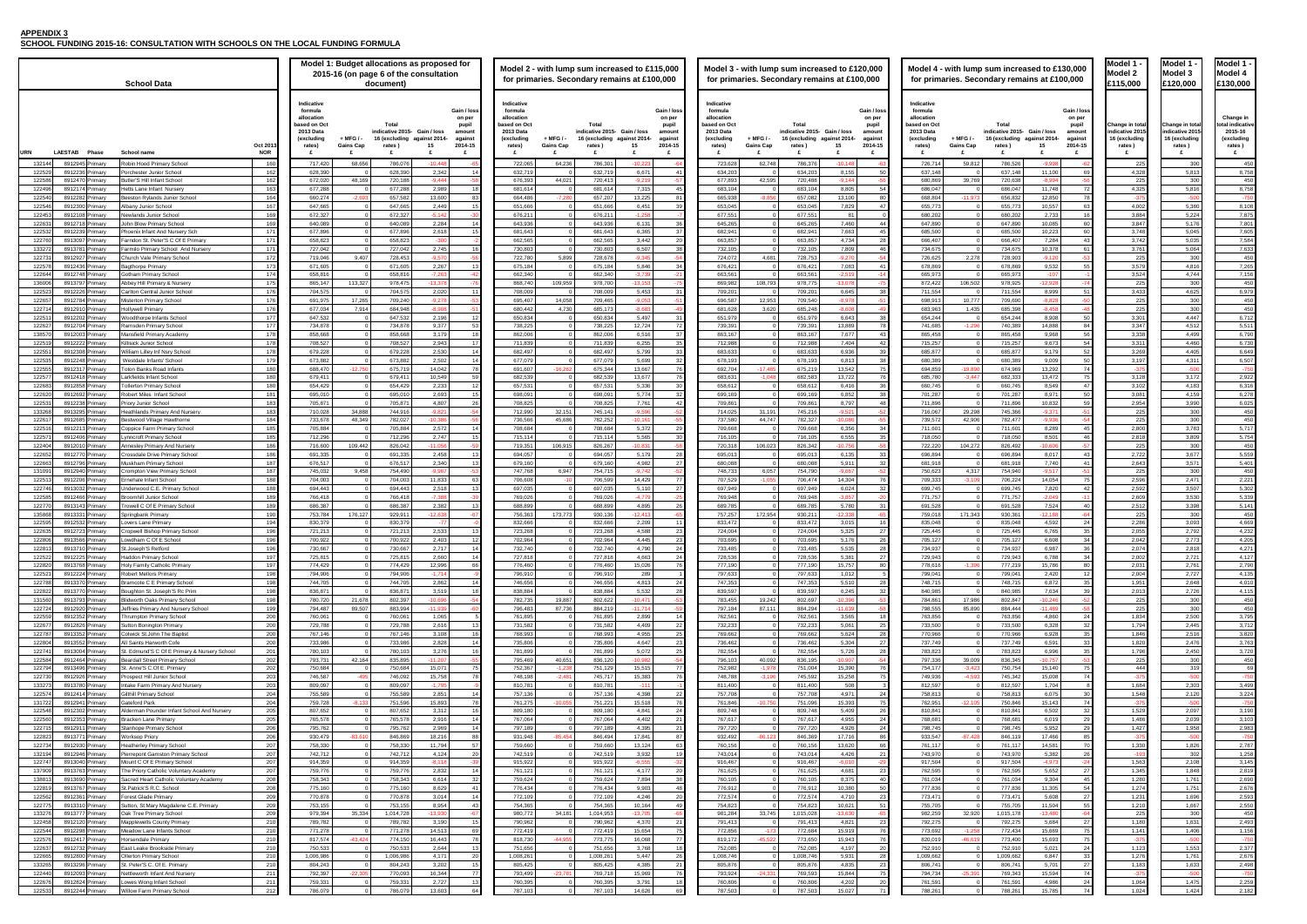## **APPENDIX 3**

**SCHOOL FUNDING 2015-16: CONSULTATION WITH SCHOOLS ON THE LOCAL FUNDING FORMULA**

| Model 1<br>odel                                               |
|---------------------------------------------------------------|
| 20,000<br>1                                                   |
|                                                               |
|                                                               |
| Change in total<br>indicative 2015<br>16 (excluding<br>rates) |
| £                                                             |
| 300<br>5,81<br>ŝ                                              |
| X<br>١<br>5.<br>81<br>6                                       |
| I<br>5,380                                                    |
| 5,2<br>24<br>l<br>1<br>6                                      |
| 045<br>5<br>5,035                                             |
| ţ<br>064<br>5<br>300<br>ί                                     |
| į<br>16<br>J<br>$^{14}$<br>4<br>ī                             |
| 300<br>4<br>625<br>١                                          |
| 300                                                           |
| $\mathfrak{z}$<br>4<br>4<br>47                                |
| 4,512<br>499<br>1                                             |
| 1,460                                                         |
| 4<br>31<br>1<br>I<br>ι                                        |
| 17<br>3<br>4,<br>18:<br>₹                                     |
| 1<br>1<br>990<br>3                                            |
| 300                                                           |
| 300<br>١<br>3,<br>78.<br>3                                    |
| 30<br>)<br>i<br>300                                           |
| 3<br>67<br>ı<br>ŧ<br>$\overline{\phantom{a}}$<br>ξ<br>57      |
| í<br>300<br>1                                                 |
| 507<br>3<br>$_{3,5}$<br>30                                    |
| 3Ś<br>98<br>ł<br>30<br>)<br>J                                 |
| 3,<br>(<br>X<br>J<br>$\overline{2}$<br>92<br>$\overline{1}$   |
| ١<br>I<br>$\overline{1}$<br>ŕ<br>1                            |
| 7<br>2<br>i<br>i<br>ï<br>J                                    |
| ï<br>2<br>6<br>48<br>,                                        |
| 26<br>ï<br>i<br>š<br>)<br>١                                   |
| X<br>O<br>J                                                   |
| $\overline{2}$<br>50<br>X<br>١<br>1<br>1<br>١<br>ś            |
| ŧ<br>1<br>١<br>ī<br>1<br>76                                   |
| c<br>I<br>J<br>ĵ<br>O<br>١<br>ì                               |
| 1<br>ŝ<br>Ś<br>١<br>j<br>١                                    |
| 2<br>31<br>):<br>١<br>ï<br>1                                  |
| I<br>$\mathbf{r}$<br>37                                       |
| 2<br>Ï<br>š<br>):<br>١<br>1<br>958                            |
| 1<br>826                                                      |
| 30<br>)2<br>í<br>2<br>10<br>X<br>١                            |
| 48<br>1<br>8<br>ź<br>1<br>6<br>1<br>j                         |
| 5<br>1<br>1<br>ï<br>1<br>6!<br>96                             |
| f<br>56<br>1<br>١                                             |
| 30<br>)(<br>1<br>1<br>ׇ֚֕֕                                    |
| 106<br>1<br>j<br>ı<br>Ī.                                      |
| ś<br>ļ<br>1<br>₹<br>ī<br>1<br>Ϊ<br>5<br>i<br>ī                |
| 1                                                             |
| 1<br>47                                                       |

|                     | <b>Model 1</b>                                                        |
|---------------------|-----------------------------------------------------------------------|
|                     | Model 4<br>130,000:                                                   |
|                     |                                                                       |
| al<br>15<br>g       | Change in<br>total indicative<br>2015-16<br>(excluding<br>rates)<br>£ |
| 0                   | 450                                                                   |
| 3<br>0              | 8,758<br>450                                                          |
| 6<br>o              | 8,758<br>50                                                           |
| 0<br>4              | 8,108<br>7,875                                                        |
| 6<br>5              | ,801<br>7,605                                                         |
| 5<br>4              | ,584<br>7<br>7,633                                                    |
| 0<br>6              | 450<br>7,265                                                          |
| 4<br>0              | 7,156                                                                 |
| 5                   | 450<br>6,979                                                          |
| 0<br>0              | 450<br>450                                                            |
| 7                   | 6,712<br>5,511                                                        |
| 9<br>0              | 6,790<br>6,730                                                        |
| 5<br>1              | 6,649<br>6,507                                                        |
| q<br>$\overline{c}$ | 2,922                                                                 |
| 3<br>9              | 6,316<br>6,278                                                        |
| 0                   | 6,025                                                                 |
| 0<br>0              | 450<br>450                                                            |
| 3<br>9              | 5,717<br>5,754                                                        |
| 0<br>$\overline{1}$ | 450<br>5,559                                                          |
| 1<br>0              | 5,401<br>450                                                          |
| 1<br>$\overline{1}$ | 2,221<br>5,302                                                        |
| 0<br>8              | 5,339<br>5,141                                                        |
| 0<br>3              | 450                                                                   |
| 2                   | 4,669<br>4,232                                                        |
| 8                   | 4.<br>271                                                             |
| 1<br>1              | 4,127<br>2,790                                                        |
| $\overline{1}$<br>8 | 4,135<br>4,010                                                        |
| 6<br>0              | 4,<br>115<br>450                                                      |
| 0<br>0              | 450<br>٦<br>3,795                                                     |
| 5<br>6              | 3,71<br>z<br>3,820                                                    |
| 6                   | 3,763                                                                 |
| 0<br>0              | 3,720<br>450                                                          |
| 9<br>o              | 69<br>'50<br>7                                                        |
| 3<br>0              | 499<br>3,<br>224                                                      |
| 0<br>7              | -75<br>50<br>190<br>3,                                                |
| 9<br>8              | 103<br>3,<br>2,983                                                    |
| O<br>6              | 2,787                                                                 |
| $\overline{c}$<br>8 | 1,258<br>3,145                                                        |
| 8<br>1              | 2,819                                                                 |
| 1                   | 2,690<br>2,676                                                        |
| 6<br>7              | 59.<br>2<br>,550                                                      |
| 0<br>1              | 450<br>2,493                                                          |
| 6<br>O              | 156<br>1,<br>ı                                                        |
| 3<br>1              | 2,37<br>7<br>2,676                                                    |
| 3<br>0              | 498<br>ï<br>50<br>7                                                   |
| 5<br>4              | 259<br>2<br>2,<br>182                                                 |

|                              | 130,000<br>100,000                                                  | Model 1 -<br>Model 2<br>£115,000                                    | Model 1 -<br>Model 3<br>£120,000                                   |                 | Model 1 -<br>Model 4<br>£130,000                                      |  |  |  |  |  |
|------------------------------|---------------------------------------------------------------------|---------------------------------------------------------------------|--------------------------------------------------------------------|-----------------|-----------------------------------------------------------------------|--|--|--|--|--|
| 4-                           | Gain / loss<br>on per<br>pupil<br>amount<br>against<br>2014-15<br>£ | Change in total<br>indicative 2015-<br>16 (excluding<br>rates)<br>£ | Change in total<br>indicative 2015<br>16 (excluding<br>rates)<br>£ |                 | Change in<br>total indicative<br>2015-16<br>(excluding<br>rates)<br>£ |  |  |  |  |  |
| 8                            | $-62$                                                               | 225                                                                 |                                                                    | 300             | 450                                                                   |  |  |  |  |  |
| 0<br>4                       | 69<br>56                                                            | 4,328<br>225                                                        |                                                                    | 5,813<br>300    | 8,758<br>450                                                          |  |  |  |  |  |
| 8                            | 72                                                                  | 4,325                                                               |                                                                    | 5,816           | 8,758                                                                 |  |  |  |  |  |
| 0                            | 78                                                                  | $-375$                                                              |                                                                    | $-500$          | $-750$                                                                |  |  |  |  |  |
| 7<br>3                       | 63<br>16                                                            | 4,002<br>3,884                                                      |                                                                    | 5,380<br>5,224  | 8,108<br>7,875                                                        |  |  |  |  |  |
| 5                            | 60                                                                  | 3,847                                                               |                                                                    | 5,176           | 7,801                                                                 |  |  |  |  |  |
| 3                            | 60                                                                  | 3,748                                                               |                                                                    | 5,045           | 7,605                                                                 |  |  |  |  |  |
| 4                            | 43                                                                  | 3,742                                                               |                                                                    | 5,035           | 7,584                                                                 |  |  |  |  |  |
| 8<br>o                       | 61<br>$-53$                                                         | 3,761<br>225                                                        |                                                                    | 5,064<br>300    | 7,633<br>450                                                          |  |  |  |  |  |
| 2                            | 55                                                                  | 3,579                                                               |                                                                    | 4,816           | 7,265                                                                 |  |  |  |  |  |
| 7                            | -1                                                                  | 3,524                                                               |                                                                    | 4,744           | 7,156                                                                 |  |  |  |  |  |
| 8<br>9                       | $-74$<br>51                                                         | 225<br>3,433                                                        |                                                                    | 300<br>4,625    | 450<br>6,979                                                          |  |  |  |  |  |
| 8                            | 50                                                                  | 225                                                                 |                                                                    | 300             | 450                                                                   |  |  |  |  |  |
| 8                            | 48                                                                  | 225                                                                 |                                                                    | 300             | 450                                                                   |  |  |  |  |  |
| 8<br>8                       | 50<br>84                                                            | 3,301<br>3,347                                                      |                                                                    | 4,447<br>4,512  | 6,712<br>5,511                                                        |  |  |  |  |  |
| 8                            | 56                                                                  | 3,338                                                               |                                                                    | 4,499           | 6,790                                                                 |  |  |  |  |  |
| 3                            | 54                                                                  | 3,311                                                               |                                                                    | 4,460           | 6,730                                                                 |  |  |  |  |  |
| 9                            | 52                                                                  | 3,269                                                               |                                                                    | 4,405           | 6,649                                                                 |  |  |  |  |  |
| 9<br>2                       | 50<br>74                                                            | 3,197<br>$-375$                                                     |                                                                    | 4,311<br>$-500$ | 6,507<br>$-750$                                                       |  |  |  |  |  |
| 2                            | 75                                                                  | 3,128                                                               |                                                                    | 3,172           | 2,922                                                                 |  |  |  |  |  |
| 9                            | 47                                                                  | 3,102                                                               |                                                                    | 4,183           | 6,316                                                                 |  |  |  |  |  |
| 1<br>2                       | 50<br>59                                                            | 3,081<br>2,954                                                      |                                                                    | 4,159<br>3,990  | 6,278<br>6,025                                                        |  |  |  |  |  |
| 1                            | $-51$                                                               | 225                                                                 |                                                                    | 300             | 450                                                                   |  |  |  |  |  |
| 6                            | 54                                                                  | 225                                                                 |                                                                    | 300             | 450                                                                   |  |  |  |  |  |
| 9<br>1                       | 45<br>46                                                            | 2,800<br>2,818                                                      |                                                                    | 3,783<br>3,809  | 5,717<br>5,754                                                        |  |  |  |  |  |
| 6                            | -57                                                                 | 225                                                                 |                                                                    | 300             | 450                                                                   |  |  |  |  |  |
| 7                            | 43                                                                  | 2,722                                                               |                                                                    | 3,677           | 5,559                                                                 |  |  |  |  |  |
| 0                            | 41                                                                  | 2,643                                                               |                                                                    | 3,571           | 5,401<br>450                                                          |  |  |  |  |  |
| 4                            | 51<br>75                                                            | 225<br>2,596                                                        |                                                                    | 300<br>2,471    | 2,221                                                                 |  |  |  |  |  |
| 0                            | 42                                                                  | 2,592                                                               |                                                                    | 3,507           | 5,302                                                                 |  |  |  |  |  |
| 9                            | $-11$                                                               | 2,609                                                               |                                                                    | 3,530           | 5,339                                                                 |  |  |  |  |  |
| 4<br>8                       | 40<br>64                                                            | 2,512<br>225                                                        |                                                                    | 3,398<br>300    | 5,141<br>450                                                          |  |  |  |  |  |
| 2                            | 24                                                                  | 2,286                                                               |                                                                    | 3,093           | 4,669                                                                 |  |  |  |  |  |
| 5                            | 35                                                                  | 2,055                                                               |                                                                    | 2,792           | 4,232                                                                 |  |  |  |  |  |
| 8<br>7                       | 34<br>36                                                            | 2,042<br>2,074                                                      |                                                                    | 2,773<br>2,818  | 4,205<br>4,271                                                        |  |  |  |  |  |
| 8                            | 34                                                                  | 2,002                                                               |                                                                    | 2,721           | 4,127                                                                 |  |  |  |  |  |
| 6                            | 80                                                                  | 2,031                                                               |                                                                    | 2,761           | 2,790                                                                 |  |  |  |  |  |
| 0                            | 12<br>35                                                            | 2,004<br>1,951                                                      |                                                                    | 2,727<br>2,648  | 4,135<br>4,010                                                        |  |  |  |  |  |
| 2<br>4                       | 39                                                                  | 2,013                                                               |                                                                    | 2,726           | 4,115                                                                 |  |  |  |  |  |
| 6                            | 52                                                                  | 225                                                                 |                                                                    | 300             | 450                                                                   |  |  |  |  |  |
| 9                            | $-58$<br>24                                                         | 225                                                                 |                                                                    | 300             | 450                                                                   |  |  |  |  |  |
| 0<br>8                       | 32                                                                  | 1,834<br>1,794                                                      |                                                                    | 2,500<br>2,445  | 3,795<br>3,712                                                        |  |  |  |  |  |
| 8                            | 35                                                                  | 1,846                                                               |                                                                    | 2,516           | 3,820                                                                 |  |  |  |  |  |
| 1                            | 33                                                                  | 1,820                                                               |                                                                    | 2,476           | 3,763                                                                 |  |  |  |  |  |
| 6<br>7                       | 35<br>53                                                            | 1,796<br>225                                                        |                                                                    | 2,450<br>300    | 3,720<br>450                                                          |  |  |  |  |  |
| 0                            | 75                                                                  | 444                                                                 |                                                                    | 319             | 69                                                                    |  |  |  |  |  |
| 8                            | 74                                                                  | $-375$                                                              |                                                                    | -500            | -750                                                                  |  |  |  |  |  |
| 4<br>5                       | 8<br>30                                                             | 1,684<br>1,548                                                      |                                                                    | 2,303<br>2,120  | 3,499<br>3,224                                                        |  |  |  |  |  |
| 3                            | 74                                                                  | $-375$                                                              |                                                                    | $-500$          | $-750$                                                                |  |  |  |  |  |
| 2                            | 32                                                                  | 1,529                                                               |                                                                    | 2,097           | 3,190                                                                 |  |  |  |  |  |
| 9<br>2                       | 29<br>29                                                            | 1,486<br>1,427                                                      |                                                                    | 2,039<br>1,958  | 3,103<br>2,983                                                        |  |  |  |  |  |
| 6                            | 85                                                                  | $-375$                                                              |                                                                    | $-500$          | $-750$                                                                |  |  |  |  |  |
| 1                            | 70                                                                  | 1,330                                                               |                                                                    | 1,826           | 2,787                                                                 |  |  |  |  |  |
| $\overline{\mathbf{c}}$<br>3 | 26                                                                  | $-193$<br>1,563                                                     |                                                                    | 302             | 1,258                                                                 |  |  |  |  |  |
| 2                            | $-24$<br>27                                                         | 1,345                                                               |                                                                    | 2,108<br>1,848  | 3,145<br>2,819                                                        |  |  |  |  |  |
| 4                            | 45                                                                  | 1,280                                                               |                                                                    | 1,761           | 2,690                                                                 |  |  |  |  |  |
| 5                            | 54                                                                  | 1,274                                                               |                                                                    | 1,751           | 2,676                                                                 |  |  |  |  |  |
| 8<br>4                       | 27<br>55                                                            | 1,231<br>1,210                                                      |                                                                    | 1,696<br>1,667  | 2,593<br>2,550                                                        |  |  |  |  |  |
| 0                            | 64                                                                  | 225                                                                 |                                                                    | 300             | 450                                                                   |  |  |  |  |  |
| 4                            | 27                                                                  | 1,180                                                               |                                                                    | 1,631           | 2,493                                                                 |  |  |  |  |  |
| 9<br>3                       | 75<br>75                                                            | 1,141<br>$-375$                                                     |                                                                    | 1,406<br>$-500$ | 1,156<br>$-750$                                                       |  |  |  |  |  |
| 1                            | 24                                                                  | 1,123                                                               |                                                                    | 1,553           | 2,377                                                                 |  |  |  |  |  |
| 7                            | 33                                                                  | 1,276                                                               |                                                                    | 1,761           | 2,676                                                                 |  |  |  |  |  |
| 1<br>4                       | 27<br>74                                                            | 1,183<br>$-375$                                                     |                                                                    | 1,633<br>$-500$ | 2,498<br>$-750$                                                       |  |  |  |  |  |
| 6                            | 24                                                                  | 1,064                                                               |                                                                    | 1,475           | 2,259                                                                 |  |  |  |  |  |
| É                            | 74                                                                  | 1.024                                                               |                                                                    | $\Delta$        | 2.182                                                                 |  |  |  |  |  |

| <b>School Data</b>                                                                                                                              | Model 1: Budget allocations as proposed for<br>2015-16 (on page 6 of the consultation<br>document)                                                                                                                                                                                | Model 2 - with lump sum increased to £115,000<br>for primaries. Secondary remains at £100,000                                                                                                                                                                                   | Model 3 - with lump sum increased to £120,000<br>for primaries. Secondary remains at £100,000                                                                                                                                                                                           | Model 4 - with lump sum increased to £130,000<br>for primaries. Secondary remains at £100,000                                                                                                                                                                                   | Model 1<br>Model 2<br>£115,000                             | Model 1<br>Model 3<br>£120,000                             | Model 1<br>Model 4<br>£130,000                                 |
|-------------------------------------------------------------------------------------------------------------------------------------------------|-----------------------------------------------------------------------------------------------------------------------------------------------------------------------------------------------------------------------------------------------------------------------------------|---------------------------------------------------------------------------------------------------------------------------------------------------------------------------------------------------------------------------------------------------------------------------------|-----------------------------------------------------------------------------------------------------------------------------------------------------------------------------------------------------------------------------------------------------------------------------------------|---------------------------------------------------------------------------------------------------------------------------------------------------------------------------------------------------------------------------------------------------------------------------------|------------------------------------------------------------|------------------------------------------------------------|----------------------------------------------------------------|
| Oct 201                                                                                                                                         | Indicative<br>formula<br>Gain / los<br>allocation<br>on per<br>oased on Oct<br>Total<br>pupil<br>2013 Data<br>indicative 2015- Gain / loss<br>amoun<br>(excluding<br>+ MFG / -<br>16 (excluding against 2014-<br>against<br><b>Gains Cap</b><br>2014-15<br>15<br>rates)<br>rates) | Indicative<br>Gain / los<br>formula<br>allocatior<br>on per<br>oased on Oct<br>Total<br>pupil<br>2013 Data<br>indicative 2015 Gain / loss<br>amoun<br>(excluding<br>+ MFG / -<br>16 (excluding against 2014<br>against<br>2014-15<br><b>Gains Cap</b><br>15<br>rates)<br>rates) | Indicative<br>Gain / los<br>formula<br>allocation<br>on per<br>ased on Oct<br>Total<br>pupil<br>2013 Data<br>indicative 2015 Gain / loss<br>amount<br>(excluding<br>$+$ MFG $/$ -<br>16 (excluding<br>against 2014-<br>against<br>2014-15<br><b>Gains Cap</b><br>15<br>rates)<br>rates) | Indicative<br>Gain / los<br>formula<br>allocatior<br>on per<br>ased on Oct<br>Tota<br>pupil<br>2013 Data<br>indicative 2015 Gain / loss<br>amount<br>(excluding<br>+ MFG / -<br>16 (excluding against 2014-<br>against<br><b>Gains Cap</b><br>2014-15<br>15<br>rates)<br>rates) | Change in tota<br>ndicative 201<br>∣6 (excluding<br>rates) | Change in tot<br>ndicative 201<br>l6 (excluding<br>rates ) | Change ir<br>tal indicative<br>2015-16<br>(excluding<br>rates) |
| URN<br><b>NOR</b><br><b>LAESTAB</b><br>Phase<br>School name<br>8912945 Primary<br>Robin Hood Primary School<br>132144                           | 68,656<br>$-10.448$<br>160<br>717,420<br>786,07<br>-65                                                                                                                                                                                                                            | £<br>$-10.21$<br>722,065<br>64,236<br>786,301                                                                                                                                                                                                                                   | 62,748<br>786,376<br>$-10.14$<br>723,628                                                                                                                                                                                                                                                | £<br>59,812<br>726,714<br>786,526<br>$-9.998$                                                                                                                                                                                                                                   | £<br>- 225                                                 | E<br>30                                                    | £<br>450                                                       |
| 122529<br>8912236 Primary<br>orchester Junior School                                                                                            | 628.390<br>628,390<br>2,342<br>162<br>14                                                                                                                                                                                                                                          | 632.719<br>632,719<br>6,671                                                                                                                                                                                                                                                     | 634,203<br>634,203<br>8,155                                                                                                                                                                                                                                                             | 11,100<br>637.148<br>637.148<br>-69                                                                                                                                                                                                                                             | 4.328                                                      | 5,813                                                      | 8.758                                                          |
| 122586<br>8912470 Prim<br>utler'S Hill Infant School                                                                                            | 162<br>672,020<br>48.169<br>720,18<br>$-9.444$                                                                                                                                                                                                                                    | 676,39<br>44,021<br>720,413<br>$-9.2$                                                                                                                                                                                                                                           | 677,893<br>42,595<br>720,488<br>$-9.14$                                                                                                                                                                                                                                                 | 680,869<br>39,769<br>720,638<br>$-8.994$                                                                                                                                                                                                                                        |                                                            | 30                                                         | 450                                                            |
| 122496<br>8912174 Primary<br>letts Lane Infant Nursery<br>eeston Rylands Junior School                                                          | 2,989<br>163<br>677,288<br>677,288                                                                                                                                                                                                                                                | 681,614<br>681,614<br>7,315                                                                                                                                                                                                                                                     | 683,104<br>683,104<br>8,805                                                                                                                                                                                                                                                             | 686,047<br>686,047<br>11,748<br>- 72                                                                                                                                                                                                                                            | 4,325                                                      | 5,816<br>$-50$                                             | 8,758                                                          |
| 122540<br>8912282 Primary<br>122546<br>8912300 Primary<br>Ibany Junior School                                                                   | 164<br>657.582<br>13,600<br>660.274<br>$-2.69$<br>-83<br>167<br>647.665<br>647,66<br>2,449                                                                                                                                                                                        | 664,486<br>657.207<br>13,225<br>$-7.280$<br>651,666<br>651.666<br>6,451                                                                                                                                                                                                         | $-8.856$<br>657.082<br>13.100<br>665.938<br>653,045<br>653,045<br>7,829<br>$\overline{4}$                                                                                                                                                                                               | 668,804<br>$-11.973$<br>656,832<br>12.850<br>- 78<br>655,773<br>655,77<br>10,557<br>63                                                                                                                                                                                          | 4,002                                                      | 5,380                                                      | $-750$<br>8.108                                                |
| 122453<br>8912108 Primary<br>ewlands Junior School                                                                                              | 169<br>672,327<br>672,32<br>$-5.142$                                                                                                                                                                                                                                              | 676,21<br>676,21<br>-12                                                                                                                                                                                                                                                         | 677,551<br>677,551<br>81                                                                                                                                                                                                                                                                | 680,202<br>680,20<br>2,733                                                                                                                                                                                                                                                      | 3,884                                                      | 5,224                                                      | 7,875                                                          |
| 122631<br>8912718 Primary<br>ohn Blow Primary School                                                                                            | 169<br>2,284<br>640.089<br>640.08                                                                                                                                                                                                                                                 | 643.936<br>643,936<br>6.131                                                                                                                                                                                                                                                     | 645.265<br>7.460<br>645.265                                                                                                                                                                                                                                                             | 10,085<br>647.890<br>647.890                                                                                                                                                                                                                                                    | 3,847                                                      | 5,176                                                      | 7.801                                                          |
| 122532<br>8912239 Primary<br>hoenix Infant And Nursery Sch<br>8913097 Primary                                                                   | 2,618<br>171<br>677,896<br>677,896<br>171<br>658.823<br>$-300$                                                                                                                                                                                                                    | 681,643<br>681,643<br>6,365<br>662,565<br>3.442                                                                                                                                                                                                                                 | 682,941<br>682,941<br>7,663<br>45<br>4,734<br>663.857<br>663.857                                                                                                                                                                                                                        | 685,500<br>685,500<br>10,223<br>60<br>666.407<br>666.407<br>-43                                                                                                                                                                                                                 | 3,748                                                      | 5,045<br>5,035                                             | 7,605<br>7.584                                                 |
| 122760<br>arndon St. Peter'S C Of E Primary<br>133272<br>8913781 Primary<br>Farmilo Primary School And Nursery                                  | 658,823<br>171<br>727,042<br>727,042<br>2,745                                                                                                                                                                                                                                     | 662,565<br>730,803<br>730,803<br>6,507                                                                                                                                                                                                                                          | 732,105<br>732,105<br>7,809                                                                                                                                                                                                                                                             | 7,284<br>734,675<br>734,675<br>10,378<br>61                                                                                                                                                                                                                                     | 3,742<br>3,76'                                             | 5,064                                                      | 7,633                                                          |
| 122731<br>8912927 Primary<br>Church Vale Primary School                                                                                         | 172<br>719,046<br>9,407<br>728,453<br>$-9.570$                                                                                                                                                                                                                                    | 722,780<br>5,899<br>728,678<br>$-9.3$                                                                                                                                                                                                                                           | 4,681<br>724,072<br>728,753<br>$-9,27$                                                                                                                                                                                                                                                  | 726,625<br>2,278<br>728,903<br>$-9,120$                                                                                                                                                                                                                                         | - 225                                                      | 300                                                        | 450                                                            |
| 122578<br>8912436 Primar<br>gthorpe Primary                                                                                                     | 173<br>2,267<br>671,605<br>671,60                                                                                                                                                                                                                                                 | 675,18<br>675,184<br>5,846                                                                                                                                                                                                                                                      | 676,421<br>7,083<br>676,421                                                                                                                                                                                                                                                             | 678,869<br>9,532<br>678,869                                                                                                                                                                                                                                                     | 3,57                                                       | 4,816                                                      | 7,265                                                          |
| 122644<br>8912748 Primary<br>Gotham Primary School<br>136006<br>8913797 Primary<br>Abbey Hill Primary & Nursery                                 | 658,816<br>$-7,263$<br>174<br>658,816<br>175<br>113,327<br>978,475<br>$-13.378$<br>865.147                                                                                                                                                                                        | 662,340<br>662,340<br>$-3,73$<br>868,740<br>109,959<br>978,700<br>$-13.15$                                                                                                                                                                                                      | 663,561<br>663,561<br>$-2.519$<br>$\Omega$<br>108,793<br>978,775<br>869.982<br>$-13.07$                                                                                                                                                                                                 | 665,973<br>665,973<br>$-107$<br>872.422<br>106,502<br>978,925<br>$-12.928$                                                                                                                                                                                                      | 3,524<br>22!                                               | 4,744<br>300                                               | 7,156<br>450                                                   |
| 122523<br>Carlton Central Junior School<br>8912226 Primary                                                                                      | 176<br>2,020<br>704,575<br>704,57<br>11                                                                                                                                                                                                                                           | 708.00<br>708,009<br>5,453                                                                                                                                                                                                                                                      | 709,201<br>6,645<br>709,201                                                                                                                                                                                                                                                             | 711.554<br>711,554<br>8,999<br>-51                                                                                                                                                                                                                                              | 3,433                                                      | 4,625                                                      | 6,979                                                          |
| 122657<br>8912784 Primary<br>fisterton Primary School                                                                                           | 176<br>17,265<br>$-9,278$<br>691,975<br>709,240                                                                                                                                                                                                                                   | 695,40<br>14,058<br>709,465<br>$-9.0$                                                                                                                                                                                                                                           | 12,953<br>696,587<br>709,540<br>$-8,97$                                                                                                                                                                                                                                                 | 10,777<br>698,913<br>709,690<br>$-8,828$                                                                                                                                                                                                                                        | -225                                                       | 300                                                        | 450                                                            |
| 122714<br>8912910 Primary<br>ollywell Primary                                                                                                   | 176<br>$-8.908$<br>677.034<br>7.914<br>684.94                                                                                                                                                                                                                                     | 680,442<br>4,730<br>685.173<br>$-8.68$                                                                                                                                                                                                                                          | 685,248<br>681.628<br>3.620<br>$-8.60$                                                                                                                                                                                                                                                  | 1,435<br>$-8.458$<br>683.963<br>685.398                                                                                                                                                                                                                                         |                                                            | 30                                                         | 450                                                            |
| 122511<br>8912202 Primary<br>oodthorpe Infants School<br>122627<br>8912704 Primary<br>Ramsden Primary School                                    | 177<br>647.532<br>647.532<br>2,196<br>12<br>177<br>9,377<br>734,878<br>734,878<br>53                                                                                                                                                                                              | 650,834<br>650.834<br>5,497<br>738,225<br>738,225<br>12,724                                                                                                                                                                                                                     | 651.979<br>6.643<br>651.979<br>739,391<br>739,391<br>13,889                                                                                                                                                                                                                             | 654.244<br>654,244<br>8.908<br>-50<br>14.888<br>741.685<br>$-1,29$<br>740,389<br>-84                                                                                                                                                                                            | 3.30 <sup>4</sup><br>3,347                                 | 4.447<br>4,512                                             | 6.712<br>5,511                                                 |
| 138570<br>8912003 Primary<br>Mansfield Primary Academ                                                                                           | 178<br>858,668<br>858,668<br>3,179<br>18                                                                                                                                                                                                                                          | 862,006<br>862,006<br>6,516                                                                                                                                                                                                                                                     | 863,167<br>863,167<br>7,677<br>$\mathbf{A}$                                                                                                                                                                                                                                             | 865.458<br>865,458<br>9,968<br>56                                                                                                                                                                                                                                               | 3,338                                                      | 4,499                                                      | 6,790                                                          |
| 122519<br>8912222 Primary<br>illisick Junior School                                                                                             | 2,943<br>708,527<br>178<br>708,527<br>-17                                                                                                                                                                                                                                         | 711,839<br>711,839<br>6,255                                                                                                                                                                                                                                                     | 712,988<br>7,404<br>712,988                                                                                                                                                                                                                                                             | 9,673<br>715,257<br>715,257<br>-54                                                                                                                                                                                                                                              | 3,31'                                                      | 4,460                                                      | 6,730                                                          |
| 12255<br>3912308<br>Villiam Lilley Inf Nsry Schoo                                                                                               | 178<br>2,530<br>679,228<br>679,22                                                                                                                                                                                                                                                 | 682,497<br>682,497<br>5,799                                                                                                                                                                                                                                                     | 683,633<br>683,633<br>6,936                                                                                                                                                                                                                                                             | 685,877<br>9,179<br>685,877                                                                                                                                                                                                                                                     | 3,26                                                       | 4,405                                                      | 6,649                                                          |
| 8912248 Primary<br>122535<br>Westdale Infants' School<br>122555<br>8912317 Primary<br><b>Toton Banks Road Infants</b>                           | 179<br>673.882<br>673.882<br>2.502<br>14<br>180<br>675,719<br>14.042<br>688.470<br>$-12.75$<br>78                                                                                                                                                                                 | 677.079<br>677.079<br>5.699<br>691.607<br>$-16.262$<br>675.344<br>13.667                                                                                                                                                                                                        | 678,193<br>678.193<br>6.813<br>$-17.485$<br>675,219<br>13.542<br>692.704                                                                                                                                                                                                                | 680.389<br>680,389<br>9.009<br>-50<br>694.859<br>$-19.89$<br>674.969<br>13.292<br>74                                                                                                                                                                                            | 3.197                                                      | 4,311<br>$-50$                                             | 6.507<br>$-750$                                                |
| 12257<br>arkfields Infant School<br>8912418 Primary                                                                                             | 180<br>679,41<br>10.549<br>679,411<br>59                                                                                                                                                                                                                                          | 682,53<br>682,539<br>13,67                                                                                                                                                                                                                                                      | $-1.048$<br>682,583<br>683,631<br>13,722                                                                                                                                                                                                                                                | 685,780<br>$-3.447$<br>13,472<br>682,333                                                                                                                                                                                                                                        | 3,128                                                      | 3,172                                                      | 2,922                                                          |
| 122683<br>8912858 Primary<br>ollerton Primary School                                                                                            | 180<br>654,429<br>654,429<br>2,233                                                                                                                                                                                                                                                | 657,53<br>657,53<br>5,336                                                                                                                                                                                                                                                       | 658,612<br>658,612<br>6,416                                                                                                                                                                                                                                                             | 660,745<br>660,745<br>8,549<br>47                                                                                                                                                                                                                                               | 3,102                                                      | 4,183                                                      | 6,316                                                          |
| 122620<br>8912692 Primary<br>obert Miles Infant School                                                                                          | 181<br>695.01<br>2.693<br>695.01                                                                                                                                                                                                                                                  | 698.091<br>698.091<br>5,774                                                                                                                                                                                                                                                     | 699.169<br>699.169<br>6.852                                                                                                                                                                                                                                                             | 701.287<br>8,971<br>701.287                                                                                                                                                                                                                                                     | 3,08                                                       | 4,159                                                      | 6,278                                                          |
| 122531<br>8912238 Primary<br>iory Junior School<br>133268<br>8913295 Primary<br>leathlands Primary And Nursery                                  | 183<br>705.871<br>4.807<br>705.871<br>26<br>183<br>$-9.821$<br>710,028<br>34.888<br>744,916                                                                                                                                                                                       | 708.825<br>708.825<br>7.761<br>712,990<br>32,151<br>745.141<br>$-9.59$                                                                                                                                                                                                          | 709.861<br>8.797<br>709.861<br>714,025<br>31,191<br>745,216<br>$-9.52$                                                                                                                                                                                                                  | 711.896<br>711,896<br>10.832<br>716,067<br>29,298<br>745,366<br>$-9.371$                                                                                                                                                                                                        | 2,954<br>225                                               | 3,990<br>300                                               | 6,025<br>450                                                   |
| 12261<br>8912685 Primary<br><b>Sestwood Village Hawthorne</b>                                                                                   | 184<br>733,678<br>48,349<br>782,02<br>$-10.386$                                                                                                                                                                                                                                   | 736,566<br>45,686<br>782,252<br>$-10.1$                                                                                                                                                                                                                                         | 737,580<br>44,747<br>782,327<br>$-10.08$                                                                                                                                                                                                                                                | 739,572<br>42,906<br>782,477<br>$-9.936$                                                                                                                                                                                                                                        | 225                                                        | 300                                                        | 450                                                            |
| 122516<br>8912213 Primary<br>oppice Farm Primary School                                                                                         | 185<br>2,572<br>705,884<br>705,884                                                                                                                                                                                                                                                | 708,684<br>708,684<br>5,372                                                                                                                                                                                                                                                     | 709,668<br>6,356<br>709,668                                                                                                                                                                                                                                                             | 711,601<br>711,601<br>8,289                                                                                                                                                                                                                                                     | 2,800                                                      | 3,783                                                      | 5,717                                                          |
| 12257<br>3912406 Primary<br>nncroft Primary School                                                                                              | 185<br>2,747<br>712,296<br>712,29                                                                                                                                                                                                                                                 | 715,11<br>715,114<br>5,565                                                                                                                                                                                                                                                      | 716,105<br>6,555<br>716,10                                                                                                                                                                                                                                                              | 718,050<br>8,501<br>718,05                                                                                                                                                                                                                                                      | 2,81                                                       | 3,809                                                      | 5,754                                                          |
| 122404<br>8912010 Primary<br>Anneslev Primary And Nursery<br>122652<br>8912770 Primary<br>Crossdale Drive Primary School                        | 186<br>716,600<br>109.442<br>826,042<br>$-11.056$<br>186<br>691.335<br>691.335<br>2.458<br>13                                                                                                                                                                                     | 719.351<br>106,915<br>826.267<br>$-10.83$<br>694.057<br>694.057<br>5.179                                                                                                                                                                                                        | 106.023<br>826.342<br>720.318<br>10.75<br>695.013<br>695.013<br>6.135<br>$\mathcal{R}$                                                                                                                                                                                                  | 722,220<br>104,272<br>826,492<br>$-10.606$<br>-5<br>696,894<br>696,894<br>8.017<br>- 43                                                                                                                                                                                         | 225<br>2.722                                               | 300<br>3,677                                               | 450<br>5.559                                                   |
| 122663<br>Muskham Primary School<br>8912796 Primary                                                                                             | 187<br>676,51<br>2,340<br>676,517                                                                                                                                                                                                                                                 | 679,16<br>679,160<br>4,982                                                                                                                                                                                                                                                      | 680,088<br>5,911<br>680.088                                                                                                                                                                                                                                                             | 681.918<br>7,740<br>681,918<br>41                                                                                                                                                                                                                                               | 2,643                                                      | 3,571                                                      | 5,401                                                          |
| 131091<br>8912940 Primary<br>rompton View Primary School                                                                                        | 187<br>745,032<br>9,458<br>754,490<br>$-9,967$                                                                                                                                                                                                                                    | 6,947<br>747,768<br>754,71<br>$-9,74$                                                                                                                                                                                                                                           | 6,057<br>748,733<br>754,790<br>-9.66                                                                                                                                                                                                                                                    | 750,623<br>4,317<br>754,940<br>$-9,517$                                                                                                                                                                                                                                         | -225                                                       | 300                                                        | 450                                                            |
| 12251<br>8912206 Primary<br>mehale Infant School                                                                                                | 188<br>11.833<br>704,003<br>704.00                                                                                                                                                                                                                                                | 706.599<br>706,608<br>14,429                                                                                                                                                                                                                                                    | 706,474<br>707.529<br>$-1.05$<br>14.304                                                                                                                                                                                                                                                 | 14.054<br>709,333<br>$-3.10$<br>706,224                                                                                                                                                                                                                                         | 2,596                                                      | 2,471                                                      | 2,221                                                          |
| 122746<br>8913032 Primary<br>derwood C.E. Primary School<br>122585<br>8912466 Primary<br><b>Sroomhill Junior School</b>                         | 188<br>694.443<br>694.443<br>2,518<br>13<br>189<br>$-7.388$<br>766,418<br>766,418                                                                                                                                                                                                 | 697.035<br>697.035<br>5.110<br>769.026<br>769,026<br>$-4.77$                                                                                                                                                                                                                    | 697,949<br>697.949<br>6.024<br>769,948<br>769,948<br>$-3.85$                                                                                                                                                                                                                            | 699,745<br>699,745<br>7,820<br>- 42<br>771,757<br>$-2.049$<br>771,757                                                                                                                                                                                                           | 2,59<br>2,609                                              | 3,507<br>3,530                                             | 5,302<br>5,339                                                 |
| owell C Of E Primary School<br>12277<br>8913143 Primary                                                                                         | 189<br>686,387<br>686,38<br>2.382<br>13                                                                                                                                                                                                                                           | 688,899<br>688,899<br>4,895                                                                                                                                                                                                                                                     | 689,785<br>689,785<br>5,780                                                                                                                                                                                                                                                             | 691.528<br>691,528<br>7,524<br>40                                                                                                                                                                                                                                               | 2,512                                                      | 3,398                                                      | 5,141                                                          |
| 135868<br>8913331 Primary<br>ringbank Primary                                                                                                   | 176,127<br>190<br>753,784<br>929,911<br>$-12,638$                                                                                                                                                                                                                                 | 173,773<br>756,363<br>930,136<br>$-12,41$                                                                                                                                                                                                                                       | 172,954<br>757,257<br>930,211<br>-12.33                                                                                                                                                                                                                                                 | 171,343<br>759,018<br>930,361<br>$-12.188$                                                                                                                                                                                                                                      | - 225                                                      | 300                                                        | 450                                                            |
| 122595<br>8912532 Primary<br>overs Lane Primary                                                                                                 | 194<br>830,379<br>830,379<br>$-77$                                                                                                                                                                                                                                                | 832,666<br>832,666<br>2,209                                                                                                                                                                                                                                                     | 833,472<br>833,472<br>3,015                                                                                                                                                                                                                                                             | 835,048<br>835,048<br>4,592                                                                                                                                                                                                                                                     | 2,286                                                      | 3,093                                                      | 4,669                                                          |
| 122635<br>8912723 Primary<br>Cropwell Bishop Primary School<br>122806<br>8913566 Primary<br>Lowdham C Of E School                               | 196<br>721.213<br>721.21<br>2.533<br>196<br>700.922<br>700.922<br>2,403<br>-12                                                                                                                                                                                                    | 723,268<br>723,268<br>4.588<br>702.964<br>702.964<br>4.445                                                                                                                                                                                                                      | 724.004<br>724.004<br>5.325<br>703.695<br>703.695<br>5,176<br>$\overline{2}$                                                                                                                                                                                                            | 725.445<br>6.765<br>725.445<br>705.127<br>705.127<br>6.608                                                                                                                                                                                                                      | 2,055<br>2.042                                             | 2,792<br>2,773                                             | 4.232<br>4.205                                                 |
| 8913710 Primary<br>St.Joseph'S Retford<br>122813                                                                                                | 196<br>730,667<br>730,66<br>2,717                                                                                                                                                                                                                                                 | 732,740<br>732,740<br>4,790                                                                                                                                                                                                                                                     | 733,485<br>5,535<br>733,485                                                                                                                                                                                                                                                             | 734,937<br>734,937<br>6,987                                                                                                                                                                                                                                                     | 2,074                                                      | 2,818                                                      | 4,271                                                          |
| Haddon Primary School<br>122522<br>8912225 Primary                                                                                              | 197<br>725,815<br>2,660<br>725,815                                                                                                                                                                                                                                                | 727,818<br>727,818<br>4,663                                                                                                                                                                                                                                                     | 728,536<br>728,536<br>5,381<br>$^{27}$                                                                                                                                                                                                                                                  | 729,943<br>729,943<br>6,788<br>34<br>$\Omega$                                                                                                                                                                                                                                   | 2,002                                                      | 2,721                                                      | 4,127                                                          |
| 122820<br>8913768 Primary<br>Holy Family Catholic Primary<br>Robert Mellors Primary                                                             | 197<br>774,429<br>774,429<br>12,996<br>66<br>198<br>794.906<br>794,906<br>$-1.714$                                                                                                                                                                                                | 776,460<br>776,460<br>15,026<br>796.910<br>796,910                                                                                                                                                                                                                              | 15,757<br>777,190<br>777,190<br>797,633<br>1,012<br>$\sqrt{ }$                                                                                                                                                                                                                          | 15,786<br>778,616<br>$-1,39$<br>777,219<br>799,041<br>799,041<br>12                                                                                                                                                                                                             | 2,031                                                      | 2,761                                                      | 2,790<br>4.135                                                 |
| 122521<br>8912224 Primary<br>8913370 Primary<br>Bramcote C E Primary School<br>122788                                                           | 198<br>744.705<br>744,705<br>2,862<br>14                                                                                                                                                                                                                                          | 289<br>746.656<br>746,656<br>4.813<br>24                                                                                                                                                                                                                                        | 797,633<br>747.353<br>747,353<br>5,510<br>$\sqrt{ }$<br>28                                                                                                                                                                                                                              | 2,420<br>748,715<br>748,715<br>6,872<br>- 35                                                                                                                                                                                                                                    | 2,004<br>1,951                                             | 2,727<br>2,648                                             | 4,010                                                          |
| 122822<br>8913770 Primary<br>Boughton St. Joseph'S Rc Prim                                                                                      | 198<br>836,87<br>836,871<br>3,519<br>18                                                                                                                                                                                                                                           | 838.884<br>838,884<br>5,532                                                                                                                                                                                                                                                     | 839,597<br>839,597<br>6,245<br>$\sim$<br>$\mathcal{R}$                                                                                                                                                                                                                                  | 840,985<br>840,985<br>7,634<br>$\sqrt{ }$<br>39                                                                                                                                                                                                                                 | 2,013                                                      | 2,726                                                      | 4,115                                                          |
| 131560<br>8913793 Primary<br>Blidworth Oaks Primary School                                                                                      | 198<br>21,678<br>802,397<br>$-10.696$<br>780,720                                                                                                                                                                                                                                  | 19,887<br>782,735<br>802,622<br>$-10,47$                                                                                                                                                                                                                                        | 19,242<br>783,455<br>802,697<br>$-10,39$                                                                                                                                                                                                                                                | 17,986<br>802,847<br>$-10,246$<br>784,861                                                                                                                                                                                                                                       | 225                                                        | 300                                                        | 450                                                            |
| 122724<br>8912920 Primary<br>Jeffries Primary And Nursery School<br>122559<br>8912352 Primary<br><b>Thrumpton Primary School</b>                | 199<br>$-11,939$<br>794,487<br>89,507<br>883,994<br>200<br>760.061<br>760.061<br>1.065                                                                                                                                                                                            | 796,483<br>87,736<br>884,219<br>$-11,71$<br>761.895<br>761.895<br>2.899                                                                                                                                                                                                         | $-11,639$<br>797,184<br>87,111<br>884,294<br>762.561<br>762,561<br>3.565<br>$\sqrt{ }$                                                                                                                                                                                                  | $-11,489$<br>798,555<br>85,890<br>884,444<br>763.856<br>763,856<br>4.860<br>24                                                                                                                                                                                                  | 225<br>1.834                                               | 300<br>2,500                                               | 450<br>3.795                                                   |
| 8912826 Primary<br><b>Sutton Bonington Primary</b><br>122677                                                                                    | 200<br>729.788<br>729,788<br>2,616<br>13                                                                                                                                                                                                                                          | 731.582<br>731.582<br>4.409                                                                                                                                                                                                                                                     | 732,233<br>732,233<br>5,061                                                                                                                                                                                                                                                             | 733,500<br>733,500<br>6,328                                                                                                                                                                                                                                                     | 1.794                                                      | 2,445                                                      | 3,712                                                          |
| 122787<br>Colwick St.John The Baptis<br>8913352 Primary                                                                                         | 200<br>767,146<br>767,146<br>3,108<br>16                                                                                                                                                                                                                                          | 768,993<br>768,993<br>4,955                                                                                                                                                                                                                                                     | 769,662<br>5,624<br>769,662<br>28                                                                                                                                                                                                                                                       | 770,966<br>6,928<br>770,966                                                                                                                                                                                                                                                     | 1,846                                                      | 2,516                                                      | 3,820                                                          |
| 8913552 Primary<br>All Saints Harworth Cofe<br>122804                                                                                           | 200<br>733,986<br>733,986<br>2,828<br>14                                                                                                                                                                                                                                          | 735,806<br>735,806<br>4,647                                                                                                                                                                                                                                                     | 5,304<br>736,462<br>736,462<br>-27                                                                                                                                                                                                                                                      | 737,749<br>737,749<br>6,591<br>-33                                                                                                                                                                                                                                              | 1,820                                                      | 2,476                                                      | 3,763                                                          |
| 122741<br>8913004 Primary<br>St. Edmund'S C Of E Primary & Nursery School<br>122584<br>8912464 Primary<br><b>Beardall Street Primary School</b> | 201<br>780,103<br>780,103<br>3,276<br>202<br>42,164<br>835,895<br>$-11.207$<br>793,731                                                                                                                                                                                            | 781,899<br>781,899<br>5,072<br>795.469<br>40,651<br>836,120<br>$-10.98$                                                                                                                                                                                                         | 782,554<br>782,554<br>5,726<br>40,092<br>836,195<br>10.907<br>796,103                                                                                                                                                                                                                   | 783,823<br>783,823<br>6,996<br>836,345<br>$-10.757$<br>797,336<br>39,009                                                                                                                                                                                                        | 1,796<br>225                                               | 2,450<br>300                                               | 3,720<br>450                                                   |
| 122794<br>8913496 Primary<br>St. Anne'S C.Of E. Primary                                                                                         | 202<br>750.684<br>750,684<br>15,071<br>75                                                                                                                                                                                                                                         | 752.367<br>15,515<br>$-1.238$<br>751.129<br>77                                                                                                                                                                                                                                  | 751,004<br>15,390<br>752,982<br>$-1.978$<br>$\overline{7}$                                                                                                                                                                                                                              | 754,177<br>$-3.423$<br>750,754<br>15.140<br>- 75                                                                                                                                                                                                                                | 444                                                        | 319                                                        | 69                                                             |
| 122730<br>8912926 Primary<br>Prospect Hill Junior School                                                                                        | 203<br>746.587<br>746,092<br>15,758<br>$-49$<br>78                                                                                                                                                                                                                                | 748,198<br>$-2,481$<br>745,717<br>15,383                                                                                                                                                                                                                                        | 748,788<br>$-3.196$<br>745,592<br>15,258<br>$\overline{7}$                                                                                                                                                                                                                              | 749,936<br>$-4.59$<br>745,342<br>15,008<br>74                                                                                                                                                                                                                                   | $-37$                                                      | $-500$                                                     | $-750$                                                         |
| 133273<br>8913780 Primary<br>ntake Farm Primary And Nursery<br><b>Gilthill Primary School</b><br>122574<br>8912414 Primary                      | 203<br>809,097<br>809,097<br>$-1.795$<br>204<br>2,851<br>755,589<br>755,589<br>14                                                                                                                                                                                                 | 810,781<br>810,781<br>$-11$ <sup>+</sup><br>757,136<br>757,136<br>4,398<br>-22                                                                                                                                                                                                  | 811,400<br>811,400<br>508<br>757,708<br>757,708<br>4,971<br>24<br>$\Omega$                                                                                                                                                                                                              | 812,597<br>1,704<br>812,597<br>6,075<br>758,813<br>758,813<br>- 30                                                                                                                                                                                                              | 1,684<br>1,548                                             | 2,303<br>2,120                                             | 3,499<br>3,224                                                 |
| 131722<br>8912941 Primary<br>Gateford Park                                                                                                      | 204<br>759,728<br>$-8.133$<br>751.596<br>15,893<br>78                                                                                                                                                                                                                             | 761.275<br>$-10.055$<br>751.221<br>15.518                                                                                                                                                                                                                                       | 761.846<br>$-10.750$<br>751.096<br>15.393<br>75                                                                                                                                                                                                                                         | 762.951<br>$-12.105$<br>750,846<br>15.143<br>74                                                                                                                                                                                                                                 |                                                            | $-500$                                                     | $-750$                                                         |
| 8912302 Primary<br>Alderman Pounder Infant School And Nursery<br>122548                                                                         | 205<br>807.652<br>807.652<br>3,312<br>16                                                                                                                                                                                                                                          | 809.180<br>809,180<br>4.841                                                                                                                                                                                                                                                     | 809.748<br>809.748<br>5.409                                                                                                                                                                                                                                                             | 810.841<br>810,841<br>6,502                                                                                                                                                                                                                                                     | 1,529                                                      | 2,097                                                      | 3.190                                                          |
| 122560<br>8912353 Primary<br><b>Bracken Lane Primary</b><br>122715<br>8912911 Primary<br>Stanhope Primary School                                | 205<br>765,578<br>765,578<br>2,916<br>14<br>206<br>795,762<br>2,969<br>795,762<br>14                                                                                                                                                                                              | 767,064<br>767,064<br>4,402<br>797,189<br>797,189<br>4,395<br>- 21                                                                                                                                                                                                              | 767,617<br>767,617<br>4,955<br>$2\iota$<br>797,720<br>797,720<br>4,926<br>24                                                                                                                                                                                                            | 768,681<br>6,019<br>768,681<br>- 29<br>798,745<br>798,745<br>5,952<br>- 29                                                                                                                                                                                                      | 1,486<br>1,427                                             | 2,039<br>1,958                                             | 3,103<br>2,983                                                 |
| 122823<br>8913771 Primary<br><b>Worksop Priory</b>                                                                                              | 206<br>930,479<br>$-83,61$<br>846,869<br>18,216<br>88                                                                                                                                                                                                                             | 931,948<br>$-85,45$<br>846,494<br>17,841                                                                                                                                                                                                                                        | 932,492<br>$-86,123$<br>846,369<br>17,716                                                                                                                                                                                                                                               | 933,547<br>$-87,428$<br>846,119<br>17,466                                                                                                                                                                                                                                       |                                                            | $-50$                                                      | $-750$                                                         |
| 122734<br>8912930 Primary<br><b>Heatherley Primary School</b>                                                                                   | 207<br>758,330<br>758,330<br>11.794<br>57                                                                                                                                                                                                                                         | 759,660<br>759,660<br>13,124<br>63                                                                                                                                                                                                                                              | 13,620<br>760,156<br>760,156<br>- 66<br>$\sqrt{ }$                                                                                                                                                                                                                                      | 761,117<br>14.581<br>761.117<br>70                                                                                                                                                                                                                                              | 1,330                                                      | 1,826                                                      | 2,787                                                          |
| 132194<br>8912946 Primary<br>Pierrepont Gamston Primary School                                                                                  | 207<br>742.712<br>742,712<br>4,124<br>20                                                                                                                                                                                                                                          | 742.519<br>742,519<br>3.932                                                                                                                                                                                                                                                     | 743.014<br>743,014<br>4,426<br>$\overline{2}$<br>$\Omega$                                                                                                                                                                                                                               | 743.970<br>743,970<br>5,382<br>- 26                                                                                                                                                                                                                                             |                                                            | 302                                                        | 1,258                                                          |
| 122747<br>8913040 Primary<br>Mount C Of E Primary School<br>137909<br>8913763 Primary<br>The Priory Catholic Voluntary Academy                  | 207<br>914,359<br>914,359<br>$-8.118$<br>$-30$<br>207<br>759,776<br>759,776<br>2,832<br>14                                                                                                                                                                                        | 915,922<br>915,922<br>$-6.55$<br>$\Omega$<br>761,121<br>761,121<br>4,177                                                                                                                                                                                                        | 916,467<br>916,467<br>$-6.010$<br>$\sqrt{ }$<br>761,625<br>4,681<br>761,625<br>- 23                                                                                                                                                                                                     | 917,504<br>917,504<br>$-4.973$<br>$\cdot$<br>762,595<br>762,595<br>5,652<br>- 27                                                                                                                                                                                                | 1,563<br>1,345                                             | 2,108<br>1,848                                             | 3,145<br>2,819                                                 |
| 138813<br>8913690 Primary<br>Sacred Heart Catholic Voluntary Academy                                                                            | 208<br>758,343<br>758,343<br>6,614<br>32                                                                                                                                                                                                                                          | 759,624<br>759,624<br>7,894                                                                                                                                                                                                                                                     | 8,375<br>760,105<br>760,105<br>40<br>$\Omega$                                                                                                                                                                                                                                           | 761,034<br>9,304<br>761,034<br>- 45                                                                                                                                                                                                                                             | 1,280                                                      | 1,761                                                      | 2,690                                                          |
| 122819<br>8913767 Primary<br>St.Patrick'S R.C. School                                                                                           | 208<br>775.160<br>775,160<br>8.629<br>41                                                                                                                                                                                                                                          | 776.434<br>776,434<br>9.903<br>$\Omega$                                                                                                                                                                                                                                         | 776.912<br>776.912<br>10.380<br>$\Omega$<br>50                                                                                                                                                                                                                                          | 777.836<br>777,836<br>11.305<br>$\Omega$<br>-54                                                                                                                                                                                                                                 | 1,274                                                      | 1,751                                                      | 2.676                                                          |
| 122562<br>8912361 Primary<br>Forest Glade Primary                                                                                               | 209<br>770.878<br>770,878<br>3,014<br>14                                                                                                                                                                                                                                          | 772.109<br>772.109<br>4.246                                                                                                                                                                                                                                                     | 772,574<br>772,574<br>4.710<br>2:                                                                                                                                                                                                                                                       | 773.471<br>773.471<br>5,608<br>- 27                                                                                                                                                                                                                                             | 1,231                                                      | 1.696                                                      | 2,593                                                          |
| 122775<br>Sutton, St.Mary Magdalene C.E. Primary<br>8913310 Primary<br>133276<br>Oak Tree Primary School<br>8913777 Primary                     | 209<br>753,155<br>753,155<br>8,954<br>43<br>209<br>1,014,728<br>979,394<br>35,334<br>$-13,930$<br>$-67$                                                                                                                                                                           | 754,365<br>10,164<br>754,365<br>980,772<br>34,181<br>1,014,953<br>$-13,70$                                                                                                                                                                                                      | 754,823<br>10,621<br>754,823<br>$-5^{\circ}$<br>33,745<br>1,015,028<br>981,284<br>$-13,630$                                                                                                                                                                                             | 755,705<br>11,504<br>755,705<br>55<br>32,920<br>1,015,178<br>982,259<br>$-13,480$                                                                                                                                                                                               | 1,210<br>225                                               | 1,667<br>300                                               | 2,550<br>450                                                   |
| 122458<br>8912120 Primary<br>Mapplewells County Primary                                                                                         | 210<br>789,782<br>789,782<br>3,190                                                                                                                                                                                                                                                | 790,962<br>790,962<br>4,370                                                                                                                                                                                                                                                     | 791,413<br>791,413<br>4,821<br>- 23                                                                                                                                                                                                                                                     | 792,275<br>792,275<br>5,684<br>- 27                                                                                                                                                                                                                                             | 1,180                                                      | 1,631                                                      | 2,493                                                          |
| 122544<br>8912298 Primary<br>Meadow Lane Infants School                                                                                         | 210<br>14.513<br>771,278<br>771,278<br>69                                                                                                                                                                                                                                         | 772,419<br>772,419<br>15,654                                                                                                                                                                                                                                                    | 15,919<br>772,856<br>$-173$<br>772,684<br>76                                                                                                                                                                                                                                            | 15,669<br>773,692<br>$-1.258$<br>772,434<br>75                                                                                                                                                                                                                                  | 1,141                                                      | 1,406                                                      | 1,156                                                          |
| 122576<br>8912417 Primary<br>Horsendale Primary<br>8912732 Primary<br>122637<br>East Leake Brookside Primary                                    | 210<br>817.574<br>$-43,424$<br>774,150<br>16.443<br>78<br>210<br>750,533<br>750,533<br>2.644<br>13                                                                                                                                                                                | 818,730<br>$-44.955$<br>773,775<br>16,068<br>77<br>751,656<br>751,656<br>3.768                                                                                                                                                                                                  | 819,172<br>$-45,522$<br>773,650<br>15,943<br>76<br>752,085<br>752,085<br>4,197<br>2 <sup>0</sup><br>$\sqrt{ }$                                                                                                                                                                          | 820.019<br>$-46.619$<br>773,400<br>15.693<br>- 75<br>752,910<br>752,910<br>5,021<br>24                                                                                                                                                                                          | 1,123                                                      | $-50$<br>1,553                                             | $-750$<br>2,377                                                |
| 8912800 Primary<br>122665<br>Ollerton Primary School                                                                                            | 1,006,986<br>4,171<br>210<br>1,006,986<br>- 20                                                                                                                                                                                                                                    | 1,008,261<br>1,008,261<br>5,447                                                                                                                                                                                                                                                 | 1,008,746<br>1,008,746<br>5,931<br>- 28                                                                                                                                                                                                                                                 | 1,009,662<br>1,009,662<br>6,847<br>- 33                                                                                                                                                                                                                                         | 1,276                                                      | 1,761                                                      | 2,676                                                          |
| St. Peter'S C. Of E. Primary<br>133265<br>8913296 Primary                                                                                       | 210<br>804,243<br>804,243<br>3,202                                                                                                                                                                                                                                                | 805,425<br>805,425<br>4,385                                                                                                                                                                                                                                                     | 805,876<br>805,876<br>4,835<br>2:<br>- 0                                                                                                                                                                                                                                                | 806,741<br>806,741<br>5,701<br>- 27                                                                                                                                                                                                                                             | 1,183                                                      | 1,633                                                      | 2,498                                                          |
| Nettleworth Infant And Nurserv<br>122440<br>8912093 Primary                                                                                     | 211<br>770,093<br>16.344<br>792,397<br>$-22.30$<br>77                                                                                                                                                                                                                             | 793.499<br>$-23.781$<br>769,718<br>15,969                                                                                                                                                                                                                                       | $-24.33$<br>15.844<br>793,924<br>769,593                                                                                                                                                                                                                                                | 769,343<br>15.594<br>794,734<br>$-25,39$<br>74<br>761.591                                                                                                                                                                                                                       | $-3$                                                       | $-500$                                                     | $-750$                                                         |
| 8912824 Primary<br>owes Wong Infant School<br>122676<br>122533<br>8912244 Primary<br>Willow Farm Primary School                                 | 211<br>759,331<br>2,727<br>759,331<br>13<br>212<br>786,079<br>13,603<br>786,079<br>64                                                                                                                                                                                             | 760,395<br>760,395<br>3,791<br>787,103<br>787,103<br>14,626                                                                                                                                                                                                                     | 760,806<br>760,806<br>4,202<br>787,503<br>787,503<br>15,027                                                                                                                                                                                                                             | 761,591<br>4.986<br>788,261<br>15,785<br>788,261<br>74                                                                                                                                                                                                                          | 1,064<br>1,024                                             | 1,475<br>1,424                                             | 2,259<br>2,182                                                 |
|                                                                                                                                                 |                                                                                                                                                                                                                                                                                   |                                                                                                                                                                                                                                                                                 |                                                                                                                                                                                                                                                                                         |                                                                                                                                                                                                                                                                                 |                                                            |                                                            |                                                                |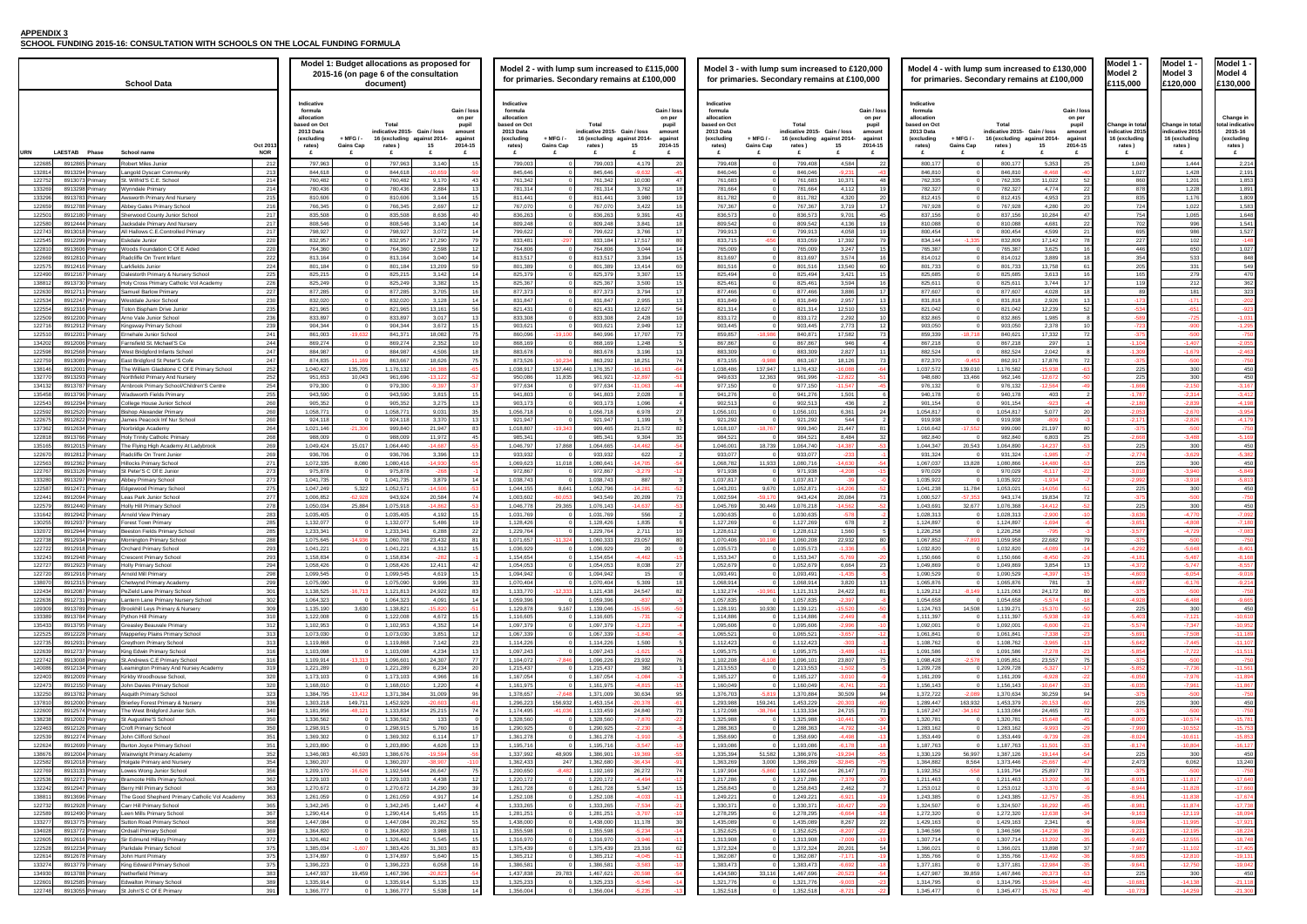## **APPENDIX 3**

**SCHOOL FUNDING 2015-16: CONSULTATION WITH SCHOOLS ON THE LOCAL FUNDING FORMULA**

| Model :<br>1<br>x<br>el<br>í               |
|--------------------------------------------|
| £1<br>20.000                               |
| Change in tot<br>Ó<br>al                   |
| indicative 2015<br>16 (excluding<br>rates) |
| £<br>444                                   |
| 1<br>1<br>428                              |
| 1<br>201                                   |
| 1<br>228<br>1<br>1<br>'n<br>7              |
| 02<br>1                                    |
| 1<br>065                                   |
| 996<br>986                                 |
| 1 <sup>1</sup><br>$\overline{2}$           |
| 650                                        |
| 533<br>331                                 |
| 279                                        |
| 212<br>181                                 |
| 1                                          |
| į<br>Í                                     |
| Ï                                          |
|                                            |
|                                            |
| $-1$<br>١<br>J<br>Ī.<br>X                  |
| X<br>ù<br>١                                |
| 300                                        |
| 1<br>ï<br>į<br>14                          |
|                                            |
| ï                                          |
|                                            |
| ü                                          |
| 300<br>$\mathbf{r}$                        |
| 300                                        |
| 40<br>J                                    |
| ý.<br>1<br>30<br>X<br>$\mathbf{I}$         |
|                                            |
| 30<br>X<br>J                               |
| ŧ.                                         |
|                                            |
|                                            |
|                                            |
|                                            |
|                                            |
|                                            |
|                                            |
| X<br>и<br>1                                |
|                                            |
|                                            |
|                                            |
|                                            |
|                                            |
|                                            |
| ı<br>)<br>١<br>١                           |
|                                            |
| i                                          |
| 1<br>١<br>1<br>֡֡֡֡<br>֡֡֡֡֡֡֡             |
|                                            |
|                                            |
| 6<br>I                                     |
| 1<br>1                                     |
| ĺ<br>1                                     |
| ĺ                                          |
| ĺ                                          |
| 1<br>1<br>i                                |
|                                            |
| ĺ<br>1                                     |
| ֡֡֡֡֡                                      |
| J<br>š<br>X                                |
|                                            |

|                             | Model 1 -<br>Model 3<br>£120,000                                   | Model 1 -<br>Model 4<br>£130,000                                      |
|-----------------------------|--------------------------------------------------------------------|-----------------------------------------------------------------------|
|                             |                                                                    |                                                                       |
| al<br>5<br>J                | Change in total<br>indicative 2015<br>16 (excluding<br>rates)<br>£ | Change in<br>total indicative<br>2015-16<br>(excluding<br>rates)<br>£ |
| $\mathbf{0}$                | 1,444                                                              | 2,214                                                                 |
| 7                           | 1,428                                                              | 2,191                                                                 |
| $\overline{0}$<br>8         | 1,201<br>1,228                                                     | 1,853<br>1,891                                                        |
| 5                           | 1,176                                                              | 1,809                                                                 |
| $\frac{4}{2}$               | 1,022<br>1,065                                                     | 1,583<br>1,648                                                        |
|                             | 996                                                                | 1,541                                                                 |
| $\frac{5}{7}$               | 986                                                                | 1,527                                                                 |
|                             | 102<br>650                                                         | $-148$<br>1,027                                                       |
| $\frac{6}{4}$               | 533                                                                | 848                                                                   |
|                             | 331<br>279                                                         | 549<br>470                                                            |
|                             | 212                                                                | 362                                                                   |
| $\frac{5}{9}$ $\frac{9}{3}$ | 181<br>171                                                         | 323<br>202                                                            |
| 4                           | $-651$                                                             | 923                                                                   |
|                             | -725<br>900                                                        | $-1,031$                                                              |
| 9<br>3<br>5                 | -500                                                               | -750                                                                  |
| 4<br>9                      | 1,407                                                              | 2,055                                                                 |
| 5                           | $-1,679$<br>$-500$                                                 | $-2,463$<br>$-750$                                                    |
| 5                           | 300                                                                | 450                                                                   |
| $\frac{5}{6}$               | 300<br>150                                                         | 450<br>3,167                                                          |
| 7                           | 314                                                                | 3,412                                                                 |
|                             | 2,839                                                              | $-4,198$<br>.954                                                      |
| $\frac{0}{1}$               | 670<br>.826                                                        | 4,179                                                                 |
| 5                           | 500                                                                | 750                                                                   |
| 8                           | 488<br>300                                                         | 169<br>450                                                            |
| $\frac{5}{4}$               |                                                                    |                                                                       |
| $\frac{5}{0}$               | 300<br>3,940                                                       | 450<br>$-5,849$                                                       |
| $\overline{2}$              | 918                                                                | 813                                                                   |
| 5<br>5                      | 300<br>500                                                         | 450<br>750                                                            |
| 5<br>6                      | 300                                                                | 450                                                                   |
| $\frac{1}{2}$               | 4,770<br>$-4,808$                                                  | $-7,092$<br>$-7,180$                                                  |
| $\overline{7}$              | $-4,729$                                                           | $-7,083$                                                              |
|                             | $-5,648$                                                           | $-8,401$                                                              |
| 1                           | 5,487                                                              | $-8,168$                                                              |
|                             | 5,747<br>-6,054                                                    | 8,557<br>$-9,016$                                                     |
|                             | 176                                                                |                                                                       |
| 5<br>B                      | 500<br>$-6,488$                                                    | 750<br>-9,665                                                         |
| 5<br>3                      | 300                                                                | 450                                                                   |
|                             | $-7,121$<br>7.                                                     | 10,610<br>10,9                                                        |
| $\frac{4}{1}$               | 7,508                                                              | 189<br>-1<br>1                                                        |
| 2                           | 7,445<br>7.                                                        | $-11,107$<br>11,51<br>1                                               |
| $\frac{4}{5}$               | 500                                                                | 750                                                                   |
|                             | -7,976                                                             | -1<br>1<br>,894                                                       |
| 0<br>5                      | ,961                                                               | ,867<br>-1<br>1                                                       |
| 5                           | $-500$                                                             | 750                                                                   |
| 5<br>5                      | 300                                                                | 450                                                                   |
| 2                           | $-10,574$                                                          | -15,781                                                               |
| 0                           | $-10,552$<br>10,611                                                | $-15,753$<br>15,853                                                   |
| $\frac{4}{5}$               | 10,804                                                             | 16,127                                                                |
|                             | 300<br>6,062                                                       | 450<br>13,240                                                         |
| 3<br>5                      | 500                                                                | -750                                                                  |
| 1<br>4                      | 11,817<br>11,828                                                   | 17,640<br>17,660                                                      |
| $\frac{1}{1}$               | 1<br>,8                                                            | 17,67                                                                 |
| 3                           | ,874<br>1<br>12<br>119                                             | 17,738<br>18,094                                                      |
| 4                           | 11<br>,995                                                         | 17,92<br>1                                                            |
| 1<br>2                      |                                                                    | -18,224                                                               |
| 7                           | 102<br>11                                                          | 17,405                                                                |
| 5                           | 810                                                                | 19<br>131                                                             |
| 1                           | 12<br>750<br>300                                                   | $-19,042$<br>450                                                      |
| $\frac{5}{1}$               |                                                                    | 300                                                                   |

| 130,000<br>100,000  |                                                                           | Model 1 -<br>Model 2                                                        | Model 1 -<br>Model 3                                                        | Model 1 -<br>Model 4                                                           |
|---------------------|---------------------------------------------------------------------------|-----------------------------------------------------------------------------|-----------------------------------------------------------------------------|--------------------------------------------------------------------------------|
|                     |                                                                           | £115,000                                                                    | £120,000                                                                    | £130,000                                                                       |
| 4-<br>3             | Gain / loss<br>on per<br>pupil<br>amount<br>against<br>2014-15<br>£<br>25 | Change in total<br>indicative 2015<br>16 (excluding<br>rates)<br>£<br>1,040 | Change in total<br>indicative 2015<br>16 (excluding<br>rates)<br>£<br>1,444 | Change in<br>total indicative<br>2015-16<br>(excluding<br>rates)<br>£<br>2,214 |
| 8                   | $-40$                                                                     | 1,027                                                                       | 1,428                                                                       | 2,191                                                                          |
| 2                   | 52                                                                        | 860                                                                         | 1,201                                                                       | 1,853                                                                          |
| 4                   | 22                                                                        | 878                                                                         | 1,228                                                                       | 1,891                                                                          |
| 3                   | 23                                                                        | 835                                                                         | 1,176                                                                       | 1,809                                                                          |
| O                   | 20                                                                        | 724                                                                         | 1,022                                                                       | 1,583                                                                          |
| 4<br>1              | 47<br>22                                                                  | 754<br>702                                                                  | 1,065<br>996                                                                | 1,648<br>1,541                                                                 |
| 9                   | 21                                                                        | 695                                                                         | 986                                                                         | 1,527                                                                          |
| 2                   | 78                                                                        | 227                                                                         | 102                                                                         | -148                                                                           |
| 5                   | 16                                                                        | 446                                                                         | 650                                                                         | 1,027                                                                          |
| 9                   | 18                                                                        | 354                                                                         | 533                                                                         | 848                                                                            |
| 8                   | 61                                                                        | 205                                                                         | 331                                                                         | 549                                                                            |
| 3                   | 16                                                                        | 165                                                                         | 279                                                                         | 470                                                                            |
| 4<br>8              | 17<br>18                                                                  | 119<br>89                                                                   | 212<br>181                                                                  | 362<br>323                                                                     |
| 6                   | 13                                                                        | -173                                                                        | -171                                                                        | $-202$                                                                         |
| 9                   | 52                                                                        | 534                                                                         | $-651$                                                                      | $-923$                                                                         |
| 5                   | 8                                                                         | $-589$                                                                      | -725                                                                        | $-1,031$                                                                       |
| 8                   | 10                                                                        | 723                                                                         | $-900$                                                                      | 1,295                                                                          |
| 2                   | 72                                                                        | $-375$                                                                      | $-500$                                                                      | $-750$                                                                         |
| 7                   | 1                                                                         | $-1,104$                                                                    | $-1,407$                                                                    | $-2,055$                                                                       |
| 2                   | 8                                                                         | 309                                                                         | 1,679                                                                       | 2,463                                                                          |
| 6<br>8              | 72<br>63                                                                  | 375<br>225                                                                  | -500<br>300                                                                 | -750<br>450                                                                    |
| $\overline{2}$      | $-50$                                                                     | 225                                                                         | 300                                                                         | 450                                                                            |
| 4                   | $-49$                                                                     | $-1,666$                                                                    | $-2,150$                                                                    | $-3,167$                                                                       |
| 3                   | 2                                                                         | 1<br>,787                                                                   | 314<br>2                                                                    | $-3,412$                                                                       |
| 3                   | -4                                                                        | $-2,180$                                                                    | $-2,839$                                                                    | $-4,198$                                                                       |
| 7                   | 20                                                                        | 2,053                                                                       | 2,670                                                                       | 3,954                                                                          |
| 9                   | -3                                                                        | $-2,171$                                                                    | $-2,826$                                                                    | $-4,179$                                                                       |
| 7<br>3              | 80<br>25                                                                  | $-375$<br>.668                                                              | $-500$<br>488                                                               | $-750$<br>169                                                                  |
| 7                   | -53                                                                       | 225                                                                         | 300                                                                         | 450                                                                            |
| 5                   | -7                                                                        | 774<br>-2                                                                   | $-3,629$                                                                    | $-5,382$                                                                       |
| Ō                   | $-53$                                                                     | 225                                                                         | 300                                                                         | 450                                                                            |
| 7                   | $-22$                                                                     | $-3,010$                                                                    | $-3,940$                                                                    | $-5,849$                                                                       |
| 4                   | $-7$                                                                      | 2,992                                                                       | 3,918                                                                       | $-5,813$                                                                       |
| 6                   | -51<br>72                                                                 | 225<br>375                                                                  | 300<br>500                                                                  | 450                                                                            |
| 4<br>$\overline{2}$ | $-52$                                                                     | 225                                                                         | 300                                                                         | 750<br>450                                                                     |
| ō                   | $-10$                                                                     | $-3,636$                                                                    | $-4,770$                                                                    | $-7,092$                                                                       |
| 4                   | -6                                                                        | -3,651                                                                      | $-4,808$                                                                    | $-7,180$                                                                       |
| 5                   | -3                                                                        | $-3,577$                                                                    | $-4,729$                                                                    | $-7,083$                                                                       |
| 2                   | 79                                                                        | 375                                                                         | 500                                                                         | -750                                                                           |
| ğ                   | 14                                                                        | 4.292                                                                       | 5.648                                                                       | $-8.401$                                                                       |
| ō                   | $-29$                                                                     | $-4,181$                                                                    | $-5,487$                                                                    | $-8,168$                                                                       |
| 4<br>7              | 13<br>$-15$                                                               | $-4,372$<br>$-4,603$                                                        | $-5,747$<br>$-6,054$                                                        | $-8,557$<br>$-9,016$                                                           |
| 1                   | 3                                                                         | $-4,687$                                                                    | $-6,176$                                                                    | $-9,214$                                                                       |
| 2                   | 80                                                                        | $-375$                                                                      | $-500$                                                                      | $-750$                                                                         |
| 4                   | $-18$                                                                     | $-4,928$                                                                    | $-6,488$                                                                    | $-9,665$                                                                       |
| 0                   | $-50$                                                                     | 225                                                                         | 300                                                                         | 450                                                                            |
| 8                   | $-19$                                                                     | $-5,403$                                                                    | $-7,121$                                                                    | $-10,610$                                                                      |
| $\overline{0}$      | $-21$                                                                     | $-5,574$                                                                    | $-7,347$                                                                    | $-10,952$                                                                      |
| 8<br>5              | $-23$<br>$-13$                                                            | $-5,691$<br>$-5,642$                                                        | $-7,508$<br>$-7,445$                                                        | $-11,189$<br>$-11,107$                                                         |
| 8                   | $^{23}$                                                                   | $-5,854$                                                                    | $-7,722$                                                                    | $-11,511$                                                                      |
| 7                   | 75                                                                        | $-375$                                                                      | $-500$                                                                      | $-750$                                                                         |
| 7                   | 17                                                                        | $-5,852$                                                                    | $-7,736$                                                                    | $-11,561$                                                                      |
| 8                   | $-22$                                                                     | $-6,050$                                                                    | $-7,976$                                                                    | $-11,894$                                                                      |
| 7                   | $-33$                                                                     | $-6,035$                                                                    | $-7,961$                                                                    | $-11,867$                                                                      |
| 9<br>3              | 94<br>60                                                                  | 375<br>225                                                                  | -500<br>300                                                                 | $-750$                                                                         |
| 5                   | 72                                                                        | $-375$                                                                      | $-500$                                                                      | 450<br>-750                                                                    |
| 8                   | 45                                                                        | $-8,002$                                                                    | $-10,574$                                                                   | $-15,781$                                                                      |
| 3                   | $-29$                                                                     | $-7,990$                                                                    | $-10,552$                                                                   | $-15,753$                                                                      |
| 9                   | $-28$                                                                     | $-8,024$                                                                    | $-10,611$                                                                   | $-15,853$                                                                      |
| 1                   | $-33$                                                                     | $-8,174$                                                                    | $-10,804$                                                                   | $-16,127$                                                                      |
| $\frac{4}{7}$       | 54                                                                        | 225                                                                         | 300                                                                         | 450                                                                            |
| 7                   | 47<br>73                                                                  | 2,473<br>$-375$                                                             | 6,062<br>$-500$                                                             | 13,240<br>$-750$                                                               |
| $\overline{2}$      | 36                                                                        | $-8,931$                                                                    | $-11,817$                                                                   | $-17,640$                                                                      |
| 0                   | -9                                                                        | $-8,944$                                                                    | $-11,828$                                                                   | -17,660                                                                        |
| 7                   | 35                                                                        | $-8,951$                                                                    | $-11,838$                                                                   | $-17,674$                                                                      |
| $\overline{c}$      | $-45$                                                                     | $-8,981$                                                                    | $-11,874$                                                                   | $-17,738$                                                                      |
| 8                   | $-34$                                                                     | $-9,163$                                                                    | $-12,119$                                                                   | $-18,094$                                                                      |
| 1                   | 6                                                                         | $-9,084$                                                                    | $-11,995$                                                                   | $-17,921$                                                                      |
| 6<br>2              | $-39$<br>35                                                               | $-9,221$<br>$-9,492$                                                        | $-12,195$<br>$-12,555$                                                      | $-18,224$<br>$-18,748$                                                         |
| 8                   | 37                                                                        | $-7,987$                                                                    | $-11,102$                                                                   | $-17,405$                                                                      |
| 2                   | $-36$                                                                     | $-9,685$                                                                    | $-12,810$                                                                   | $-19,131$                                                                      |
| 4                   | $-35$                                                                     | $-9,641$                                                                    | $-12,750$                                                                   | 19,042                                                                         |
| $\frac{3}{4}$       | $-53$                                                                     | 225                                                                         | 300                                                                         | 450                                                                            |
|                     | 41                                                                        | 10,681                                                                      | $-14, 138$                                                                  | $-21,118$                                                                      |
|                     |                                                                           |                                                                             |                                                                             |                                                                                |

|                  |                |                                    | <b>School Data</b>                                                            |            |                                                                                                                          | Model 1: Budget allocations as proposed for<br>2015-16 (on page 6 of the consultation<br>document)                                                    | Model 2 - with lump sum increased to £115,000<br>for primaries. Secondary remains at £100,000                                                                                                              |                                                                     | Model 3 - with lump sum increased to £120,000<br>for primaries. Secondary remains at £100,000                                                                                                                                                                                             | Model 4 - with lump sum increased to £130,000<br>for primaries. Secondary remains at £100,000                                                                                                                                                                                     | Model 1<br>Model 2<br>£115,000                                     | Model 1<br>Model 3<br>:120,000                             | Model 1<br>Model 4<br>£130,000                                |
|------------------|----------------|------------------------------------|-------------------------------------------------------------------------------|------------|--------------------------------------------------------------------------------------------------------------------------|-------------------------------------------------------------------------------------------------------------------------------------------------------|------------------------------------------------------------------------------------------------------------------------------------------------------------------------------------------------------------|---------------------------------------------------------------------|-------------------------------------------------------------------------------------------------------------------------------------------------------------------------------------------------------------------------------------------------------------------------------------------|-----------------------------------------------------------------------------------------------------------------------------------------------------------------------------------------------------------------------------------------------------------------------------------|--------------------------------------------------------------------|------------------------------------------------------------|---------------------------------------------------------------|
|                  |                |                                    |                                                                               | Oct 201    | Indicative<br>formula<br>allocation<br>ased on Oct<br>2013 Data<br>(excluding<br>+ MFG / -<br><b>Gains Cap</b><br>rates) | Gain / loss<br>on per<br>Tota<br>pupil<br>ndicative 2015 Gain / loss<br>amount<br>16 (excluding<br>against 2014-<br>agains<br>15<br>2014-15<br>rates) | Indicative<br>formula<br>allocation<br>ased on Oct<br>Total<br>2013 Data<br>ndicative 2015 Gain / loss<br>(excluding<br>$+$ MFG $/$<br>16 (excluding against 2014-<br><b>Gains Cap</b><br>rates)<br>rates) | Gain / los<br>on per<br>pupil<br>amount<br>against<br>2014-15<br>15 | Indicative<br>formula<br>Gain / los<br>allocation<br>on pe<br>ased on Oct<br>Tota<br>pupil<br>2013 Data<br>ndicative 2015  Gain / loss<br>amount<br>(excluding<br>$+$ MFG / $\cdot$<br>16 (excluding<br>against 2014-<br>against<br><b>Gains Cap</b><br>rates)<br>15<br>2014-15<br>rates) | Indicative<br>Gain / loss<br>formula<br>allocatior<br>on per<br>pased on Oct<br>pupil<br>Tota<br>2013 Data<br>ndicative 2015- Gain / loss<br>amount<br>(excluding<br>+ MFG / -<br>16 (excluding against 2014-<br>against<br><b>Gains Cap</b><br>rates)<br>15<br>2014-15<br>rates) | <b>Change in tota</b><br>ndicative 201!<br>16 (excluding<br>rates) | Change in tot<br>ndicative 201<br>16 (excluding<br>rates ) | Change in<br>tal indicativ<br>2015-16<br>(excluding<br>rates) |
| JRN              | <b>LAESTAB</b> | Phase                              | School name<br>Robert Miles Junior                                            | <b>NOR</b> |                                                                                                                          |                                                                                                                                                       |                                                                                                                                                                                                            |                                                                     |                                                                                                                                                                                                                                                                                           |                                                                                                                                                                                                                                                                                   |                                                                    |                                                            | £                                                             |
| 122685<br>132814 | 8912865 Primar | 8913294 Primar                     | ngold Dyscarr Community                                                       | 212<br>213 | 797,963<br>844,618                                                                                                       | 797,96<br>3,140<br>844,61<br>$-10.655$                                                                                                                | 799,00<br>799,003<br>845,646<br>845,646                                                                                                                                                                    | 4,179<br>$-96$                                                      | 799,408<br>4,584<br>799,408<br>$\overline{2}$<br>846,046<br>846,046<br>-9.23                                                                                                                                                                                                              | 800,177<br>800,17<br>5,353<br>846,810<br>846.81<br>$-8.468$                                                                                                                                                                                                                       | 1,040<br>1,027                                                     | 1,444<br>1.428                                             | 2,214<br>2,191                                                |
| 122752           |                | 8913073 Primary                    | t. Wilfrid'S C.E. School                                                      | 214        | 760.482                                                                                                                  | 9.170<br>760.482<br>43                                                                                                                                | 761.342<br>761.342                                                                                                                                                                                         | 10.030                                                              | 761.683<br>761.683<br>10.371                                                                                                                                                                                                                                                              | 762.335<br>762,335<br>11.022                                                                                                                                                                                                                                                      | 860                                                                | 1,201                                                      | 1.853                                                         |
| 133269<br>133296 |                | 8913298 Primary<br>8913783 Primary | /vnndale Primarv<br>wsworth Primary And Nursery                               | 214<br>215 | 780,436<br>810.606                                                                                                       | 780,436<br>2.884<br>13<br>810,606<br>3,144                                                                                                            | 781,314<br>781,314<br>811,441<br>811,441                                                                                                                                                                   | 3.762<br>3,980                                                      | 781,664<br>781,664<br>4.112<br>$\Omega$<br>811,782<br>4,320<br>811,782                                                                                                                                                                                                                    | 782,327<br>782,327<br>4,774<br>- 22<br>812,415<br>4,953<br>812,415                                                                                                                                                                                                                | 878<br>835                                                         | 1,228<br>1.176                                             | 1.891<br>1.809                                                |
| 122659           |                | 8912788 Primary                    | bbey Gates Primary School                                                     | 216        | 766,34                                                                                                                   | 766,34<br>2,697                                                                                                                                       | 767,07<br>767,070                                                                                                                                                                                          | 3,422                                                               | 767,367<br>767,367<br>3,719                                                                                                                                                                                                                                                               | 767,928<br>4,280<br>767,928                                                                                                                                                                                                                                                       | -72                                                                | 1,022                                                      | 1,583                                                         |
| 122501           |                | 8912180 Primary                    | nerwood County Junior School                                                  | 217        | 835.508                                                                                                                  | 835.50<br>8.636                                                                                                                                       | 836.263<br>836.26                                                                                                                                                                                          | 9.391                                                               | 836.573<br>836.573<br>9,701                                                                                                                                                                                                                                                               | 837.156<br>837.156<br>10.284<br>- 47                                                                                                                                                                                                                                              | 754                                                                | 1,065                                                      | 1.648                                                         |
| 122580<br>122743 |                | 8912444 Primar<br>8913018 Primary  | cksdale Primary And Nursery<br>Hallows C.E.Controlled Primar                  | 217<br>217 | 808.546<br>798,92                                                                                                        | 808,546<br>3.140<br>798,92<br>3,072<br>14                                                                                                             | 809,248<br>809.248<br>799.62<br>799,622                                                                                                                                                                    | 3.841<br>3,766                                                      | 809.542<br>809.542<br>4.136<br>799,913<br>799,913<br>4,058<br>$\Omega$                                                                                                                                                                                                                    | 810.088<br>810.088<br>4.681<br>800.454<br>800,454<br>4,599<br>21                                                                                                                                                                                                                  | 695                                                                | 99<br>98                                                   | 1.541<br>1,527                                                |
| 122545           |                | 8912299 Primary                    | Eskdale Junior                                                                | 220        | 832.957                                                                                                                  | 832,957<br>17,290<br>79                                                                                                                               | 833,481<br>833.184<br>$-29$                                                                                                                                                                                | 17.517                                                              | 833.715<br>$-656$<br>833.059<br>17,392                                                                                                                                                                                                                                                    | 834.144<br>832,809<br>17.142<br>$-1.32$                                                                                                                                                                                                                                           | 227                                                                | 102                                                        | $-148$                                                        |
| 122810<br>122669 |                | 8913606 Primary<br>8912810 Primary | oods Foundation C Of E Aided<br>adcliffe On Trent Infant                      | 220<br>222 | 764,360<br>813,164                                                                                                       | 764,36<br>2,598<br>813,16<br>3,040<br>14                                                                                                              | 764,80<br>764,806<br>813,51<br>813,517                                                                                                                                                                     | 3,044<br>3,394                                                      | 765,009<br>765,009<br>3,247<br>813,697<br>3,574<br>813,697<br>$\Omega$                                                                                                                                                                                                                    | 765,387<br>765,387<br>3,625<br>3,889<br>814,012<br>814,01                                                                                                                                                                                                                         | 446<br>354                                                         | 65<br>533                                                  | 1,027<br>848                                                  |
| 122575           |                | 8912416 Primary                    | arkfields Junior                                                              | 224        | 801.184                                                                                                                  | 801.184<br>13.209<br>59                                                                                                                               | 801.389<br>801.389                                                                                                                                                                                         | 13,414                                                              | 801.516<br>801.516<br>13.540                                                                                                                                                                                                                                                              | 801.733<br>801.733<br>13.758<br>-61                                                                                                                                                                                                                                               | 205                                                                | 33                                                         | 549                                                           |
| 122490<br>138812 |                | 8912167 Primary<br>8913730 Primary | alestorth Primary & Nursery School<br>loly Cross Primary Catholic Vol Academy | 225<br>226 | 825,215<br>825,249                                                                                                       | 825,21<br>3.142<br>14<br>825,249<br>3,382                                                                                                             | 825,379<br>825,379<br>825,367<br>825,367                                                                                                                                                                   | 3,307<br>3,500                                                      | 825,494<br>825,494<br>3,421<br>$\Omega$<br>825,461<br>825,461<br>3,594                                                                                                                                                                                                                    | 825.685<br>825,685<br>3,613<br>825,611<br>825,611<br>3,744                                                                                                                                                                                                                        | 165<br>11 <sup>1</sup>                                             | 279<br>212                                                 | 470<br>362                                                    |
| 122630           |                | 8912711 Primary                    | amuel Barlow Primary                                                          | 227        | 877,285                                                                                                                  | 3,705<br>877,28                                                                                                                                       | 877,37<br>877,373                                                                                                                                                                                          | 3,794                                                               | 877,466<br>877,466<br>3,886                                                                                                                                                                                                                                                               | 877,607<br>4,028<br>877,607                                                                                                                                                                                                                                                       |                                                                    |                                                            | 323                                                           |
| 122534<br>122554 |                | 8912247 Primary<br>8912316 Primary | /estdale Junior School<br>oton Bispham Drive Junior                           | 230<br>235 | 832,020<br>821.965                                                                                                       | 832,020<br>3,128<br>13.161<br>821.965<br>56                                                                                                           | 831,847<br>831,84<br>821.431<br>821,431                                                                                                                                                                    | 2,955<br>12.627                                                     | 831,849<br>831,849<br>2,957<br>$\Omega$<br>821,314<br>12.510<br>821.314                                                                                                                                                                                                                   | 2,926<br>831,818<br>831,81<br>821.042<br>12,239<br>821.042                                                                                                                                                                                                                        |                                                                    | $-17$                                                      | $-202$<br>$-923$                                              |
| 122509           | 8912200 F      | Primar                             | rno Vale Junior School                                                        | 236        | 833,897                                                                                                                  | 833,89<br>3,017                                                                                                                                       | 833,308<br>833,308                                                                                                                                                                                         | 2,428                                                               | 833,172<br>833,172<br>2,292<br>$\Omega$                                                                                                                                                                                                                                                   | 832,865<br>832,865<br>1,985                                                                                                                                                                                                                                                       | -51                                                                | $-72$                                                      | $-1.031$                                                      |
| 122716           |                | 8912912 Primary                    | Kingsway Primary School                                                       | 239        | 904.344                                                                                                                  | 904,344<br>3,672                                                                                                                                      | 903.621<br>903.621                                                                                                                                                                                         | 2.949                                                               | 903.445<br>903.445<br>2.773<br>$\Omega$                                                                                                                                                                                                                                                   | 903.050<br>903.050<br>2.378                                                                                                                                                                                                                                                       |                                                                    | $-90$                                                      | $-1,295$                                                      |
| 122510<br>134202 |                | 8912201 Primary<br>8912006 Primary | rnehale Junior School<br>arnsfield St. Michael'S Ce                           | 241<br>244 | $-19,63$<br>861,003<br>869,274                                                                                           | 841,37<br>18,082<br>869,274<br>2,352                                                                                                                  | 840,996<br>860,09<br>$-19,10$<br>868,16<br>868,169                                                                                                                                                         | 17,707<br>1,248                                                     | 859,857<br>$-18.986$<br>840,87<br>17,582<br>867,867<br>946<br>867,867<br>$\overline{\mathbf{0}}$                                                                                                                                                                                          | 840,621<br>17,332<br>859,339<br>$-18,71$<br>867,218<br>867,21<br>297                                                                                                                                                                                                              | $-1.10$                                                            | $-1.40$                                                    | $-750$<br>$-2,055$                                            |
| 122598           |                | 8912568 Primary                    | Vest Bridgford Infants School                                                 | 247        | 884.987                                                                                                                  | 884.987<br>4.506<br>18                                                                                                                                | 883,678<br>883.678                                                                                                                                                                                         | 3.196                                                               | 883.309<br>883,309<br>2.827<br>$\Omega$                                                                                                                                                                                                                                                   | 2.042<br>882.524<br>882.524                                                                                                                                                                                                                                                       | $-1.3$                                                             | $-1.67$                                                    | $-2,463$                                                      |
| 122759<br>138146 |                | 8913089 Primary<br>8912001 Primary | ast Bridgford St Peter'S Cofe<br>he William Gladstone C Of E Primary School   | 247<br>252 | 874.835<br>$-11.16$<br>135,705<br>1.040.427                                                                              | 863.667<br>18.626<br>1,176,132<br>$-16.38$                                                                                                            | 873.52<br>$-10.23$<br>863.292<br>1,038,917<br>137,440<br>1,176,357                                                                                                                                         | 18.251<br>$-16.16$                                                  | $-9.988$<br>18.126<br>873.155<br>863.167<br>137,947<br>1,176,432<br>1,038,486<br>1608                                                                                                                                                                                                     | 17,876<br>872.370<br>$-9.45$<br>862,917<br>1,037,572<br>139,01<br>1,176,582<br>$-15.938$                                                                                                                                                                                          | - 31<br>- 225                                                      | $-50$<br>300                                               | $-750$<br>450                                                 |
| 132770           |                | 8913293 Primary                    | orthfield Primary And Nursery                                                 | 252        | 10,04<br>951,653                                                                                                         | 961,69<br>$-13,12$                                                                                                                                    | 950,08<br>11,835<br>961,92                                                                                                                                                                                 | $-12,85$                                                            | 12,363<br>961,996<br>949,633<br>$-12,82$                                                                                                                                                                                                                                                  | 948,680<br>$-12,672$<br>13,466<br>962,146                                                                                                                                                                                                                                         | 225                                                                | 30                                                         | 450                                                           |
| 134132<br>135458 |                | 8913787 Primary<br>8913796 Primary | rnbrook Primary School/Children'S Centre<br>adsworth Fields Primary           | 254<br>255 | 979,300<br>943.590                                                                                                       | 979,30<br>$-9,397$<br>943.59<br>3,815                                                                                                                 | 977,634<br>977,63<br>941.80<br>941.803                                                                                                                                                                     | $-11.06$<br>2,028                                                   | 977,150<br>977,150<br>$-11.547$<br>941,276<br>941.276<br>1,501                                                                                                                                                                                                                            | 976,132<br>976,132<br>$-12.564$<br>940.178<br>940.17<br>403                                                                                                                                                                                                                       | $-1,66$<br>$-1.78$                                                 | $-2.15$<br>$-2.31$                                         | $-3,167$<br>$-3.412$                                          |
| 122543           |                | 8912294 Primary                    | ollege House Junior School                                                    | 260        | 905,352                                                                                                                  | 905,35<br>3,275                                                                                                                                       | 903,17<br>903,173                                                                                                                                                                                          | 1,096                                                               | 902,513<br>902,513<br>436<br>$\Omega$                                                                                                                                                                                                                                                     | 901,154<br>901.154<br>$-923$                                                                                                                                                                                                                                                      | $-2.1$                                                             | $-2.83$                                                    | $-4.198$                                                      |
| 122592<br>122675 |                | 8912520 Primary<br>8912822 Primary | <b>Bishop Alexander Primary</b><br>ames Peacock Inf Nur School                | 260<br>260 | 1.058.77<br>924,11                                                                                                       | 1,058,771<br>9,031<br>35<br>924,11<br>3,370                                                                                                           | 1.056.718<br>1.056.718<br>921,947<br>921,947                                                                                                                                                               | 6.978<br>1,199                                                      | 1.056.101<br>1.056.101<br>6,361<br>921,292<br>921,292<br>544                                                                                                                                                                                                                              | 1.054.817<br>1.054.817<br>5,077<br>20<br>919,938<br>919,93<br>$-809$                                                                                                                                                                                                              | $-2,05$<br>$-2,1$                                                  | $-2.67$<br>$-2,82$                                         | $-3.954$<br>$-4,179$                                          |
| 137362           |                | 8912634 Primary                    | orbridge Academ <sup>®</sup>                                                  | 264        | 1,021,146<br>$-21.30$                                                                                                    | 999,840<br>21,947<br>83                                                                                                                               | 1,018,80<br>999,465<br>$-19.34$                                                                                                                                                                            | 21,572                                                              | $-18,767$<br>999,340<br>21,447<br>1,018,107<br>-8                                                                                                                                                                                                                                         | 21,197<br>1,016,642<br>$-17.55$<br>999,090<br>-80                                                                                                                                                                                                                                 |                                                                    | $-50$                                                      | $-750$                                                        |
| 122818<br>135165 |                | 8913766 Primary<br>8912015 Primary | <b>Ioly Trinity Catholic Primary</b><br>The Flying High Academy At Ladybrook  | 268<br>269 | 988,009<br>1.049.424<br>15,017                                                                                           | 988,009<br>11.972<br>45<br>$-14.687$<br>1.064.440                                                                                                     | 985.341<br>985.341<br>17,868<br>1.064.665<br>1.046.797                                                                                                                                                     | 9.304<br>$-14.46$                                                   | 984.521<br>984.521<br>8.484<br>$\Omega$<br>18.739<br>1.046.001<br>1.064.740<br>$-14.387$                                                                                                                                                                                                  | 982.840<br>982,840<br>6.803<br>1.044.347<br>20,543<br>1.064.890<br>$-14.237$                                                                                                                                                                                                      | $-2,66$<br>225                                                     | $-3.48$<br>300                                             | $-5.169$<br>450                                               |
| 122670           |                | 8912812 Primary                    | adcliffe On Trent Junior                                                      | 269        | 936,706                                                                                                                  | 936,706<br>3,396                                                                                                                                      | 933,932<br>933.932                                                                                                                                                                                         | 622                                                                 | 933,077<br>933,077                                                                                                                                                                                                                                                                        | 931,324<br>931,324<br>$-1.985$                                                                                                                                                                                                                                                    | $-2,77$                                                            | $-3.62$                                                    | $-5.382$                                                      |
| 122563<br>122767 |                | 8912362 Primary<br>8913126 Primary | <b>lillocks Primary School</b><br>Peter'S C Of E Junior                       | 271<br>273 | 1,072,335<br>8,080<br>975,878                                                                                            | $-14,93$<br>1,080,41<br>975,878<br>$-268$                                                                                                             | 1,080,641<br>1,069,62<br>11,018<br>972,867<br>972,86                                                                                                                                                       | $-14,7$<br>$-3.2$                                                   | 1,068,782<br>11,933<br>1,080,716<br>$-14,63$<br>971,938<br>971,938<br>$\Omega$<br>$-4.20$                                                                                                                                                                                                 | 1,067,037<br>13,828<br>1,080,866<br>$-14.480$<br>970,029<br>970,02<br>$-6,117$                                                                                                                                                                                                    | 225<br>$-3,01$                                                     | 30<br>$-3.94$                                              | 450<br>$-5.849$                                               |
| 133280           |                | 8913297 Primary                    | bey Primary School                                                            | 273        | 1.041.735                                                                                                                | 1.041.73<br>3,879<br>14                                                                                                                               | 1.038.743<br>1.038.743                                                                                                                                                                                     | 887                                                                 | 1.037.817<br>1.037.817                                                                                                                                                                                                                                                                    | 1.035.922<br>$-1.934$<br>1.035.92                                                                                                                                                                                                                                                 | $-2,9$                                                             | $-3.9$                                                     | $-5.813$                                                      |
| 122587<br>122441 |                | 8912471 Primary<br>8912094 Primary | Igewood Primary Schoo<br>eas Park Junior School                               | 275<br>277 | 1,047,249<br>5,322<br>1.006.852<br>$-62.92$                                                                              | 1,052,57<br>$-14.50$<br>943,924<br>20.584<br>74                                                                                                       | 1,044,15<br>8,641<br>1.052.796<br>1.003.602<br>$-60.05$<br>943.549                                                                                                                                         | $-14.28$<br>20,209                                                  | 1,043,201<br>9,670<br>1,052,871<br>$-14.20$<br>1.002.594<br>$-59.170$<br>943.424<br>20.084                                                                                                                                                                                                | 1,041,238<br>11,784<br>1,053,021<br>$-14.056$<br>1.000.527<br>$-57.35$<br>943,174<br>19.834<br>- 72                                                                                                                                                                               | 225                                                                | 300<br>$-50$                                               | 450<br>$-750$                                                 |
| 122579           |                | 8912440 Primary                    | <b>Iolly Hill Primary Schoo</b>                                               | 278        | 1,050,03<br>25,884                                                                                                       | 1,075,91<br>$-14,862$                                                                                                                                 | 1,046,77<br>29,365<br>1,076,143                                                                                                                                                                            | $-14,63$                                                            | 30,449<br>1,045,769<br>1,076,218<br>$-14.56$                                                                                                                                                                                                                                              | 1,043,691<br>32,677<br>1,076,36<br>$-14,412$                                                                                                                                                                                                                                      | 225                                                                | 30                                                         | 450                                                           |
| 131642<br>130255 |                | 8912942 Primary<br>8912937 Primary | nold View Primary<br>orest Town Primary                                       | 283<br>285 | 1,035,405<br>1.132.077                                                                                                   | 1,035,40<br>4,192<br>1.132.077<br>5.486                                                                                                               | 1,031,76<br>1,031,769<br>1.128.426<br>1.128.426                                                                                                                                                            | 556<br>1.835                                                        | 1,030,635<br>1,030,635<br>$-578$<br>$\Omega$<br>1.127.269<br>1.127.269<br>678                                                                                                                                                                                                             | 1,028,31<br>1,028,313<br>$-2,900$<br>1.124.897<br>1.124.897<br>$-1.694$                                                                                                                                                                                                           | $-3.63$<br>$-3.65$                                                 | $-4.7$<br>$-4.80$                                          | $-7,092$<br>$-7.180$                                          |
| 132072           |                | 8912944 Primary                    | eston Fields Primary School                                                   | 285        | 1.233.341                                                                                                                | 1.233.341<br>6.288                                                                                                                                    | 1,229,764<br>1.229.764                                                                                                                                                                                     | 2.711                                                               | 1,228,612<br>1.228.612<br>1.560                                                                                                                                                                                                                                                           | 1.226.258<br>1,226,25<br>$-795$                                                                                                                                                                                                                                                   | $-3.57$                                                            | $-4.72$                                                    | $-7.083$                                                      |
| 122738<br>122722 |                | 8912934 Primary<br>8912918 Primary | Mornington Primary School<br>Orchard Primary School                           | 288<br>293 | 1,075,645<br>$-14,93$<br>1,041,221                                                                                       | 1,060,708<br>23,432<br>81<br>1,041,221<br>4,312                                                                                                       | 1,071,657<br>1,060,333<br>$-11.32$<br>1,036,929<br>1,036,929                                                                                                                                               | 23,057<br>20 <sub>1</sub>                                           | 1,070,406<br>1,060,208<br>22,932<br>$-10.198$<br>80<br>1,035,573<br>$\overline{0}$<br>1,035,573<br>$-1,336$                                                                                                                                                                               | 1.067.852<br>1,059,958<br>22,682<br>$-7,893$<br>1,032,820<br>1,032,820<br>$-4,089$                                                                                                                                                                                                |                                                                    | $-50$                                                      | $-750$<br>$-8,401$                                            |
| 132243           |                | 8912948 Primary                    | <b>Crescent Primary School</b>                                                | 293        | 1,158,834                                                                                                                | 1,158,834<br>$-282$                                                                                                                                   | 1,154,654<br>1,154,654                                                                                                                                                                                     | $-4.462$                                                            | 1.153.347<br>1,153,347<br>$-5.769$<br>$\Omega$                                                                                                                                                                                                                                            | 1.150.666<br>1,150,666<br>$-8,450$                                                                                                                                                                                                                                                | $-4,18$                                                            | $-5,48$                                                    | $-8,168$                                                      |
| 122727<br>122720 |                | 8912923 Primary<br>8912916 Primary | <b>Holly Primary School</b><br>Arnold Mill Primary                            | 294<br>298 | 1.058.426<br>1,099,545                                                                                                   | 1.058.426<br>12,411<br>42<br>1,099,545<br>4.619<br>15                                                                                                 | 1.054.053<br>1.054.053<br>1,094,942<br>1,094,942                                                                                                                                                           | 8,038<br>15                                                         | 1,052,679<br>1,052,679<br>6,664<br>$\Omega$<br>2:<br>1,093,491<br>$\Omega$<br>1,093,491<br>$-1.435$                                                                                                                                                                                       | 1.049.869<br>1.049.869<br>3,854<br>13<br>1,090,529<br>1,090,529<br>$-4.397$                                                                                                                                                                                                       | $-4.37$<br>$-4.6$                                                  | $-5,74$<br>$-6.05$                                         | $-8.557$<br>$-9.016$                                          |
| 138070           |                | 8912315 Primary                    | Chetwynd Primary Academy                                                      | 299        | 1.075.090                                                                                                                | 1,075,090<br>9,996<br>33                                                                                                                              | 1.070.404<br>1.070.404                                                                                                                                                                                     | 5.309                                                               | 1.068.914<br>3,820<br>1.068.914<br>$\Omega$<br>$-11$                                                                                                                                                                                                                                      | 1.065.876<br>1.065.876<br>781                                                                                                                                                                                                                                                     | $-4.68$                                                            | $-6.17$                                                    | $-9,214$                                                      |
| 122434<br>122636 |                | 8912087 Primary<br>8912731 Primary | PeZield Lane Primary School<br>antern Lane Primary Nursery School             | 301<br>302 | 1,138,52<br>$-16,71$<br>1,064,323                                                                                        | 1,121,81<br>24,922<br>-83<br>1,064,323<br>4,091<br>14                                                                                                 | 1,133,77<br>1,121,438<br>$-12,33$<br>1,059,396<br>1,059,396                                                                                                                                                | 24,547<br>$-837$                                                    | $-10,961$<br>1,132,274<br>1,121,313<br>24,422<br>1,057,835<br>1,057,835<br>$\overline{\phantom{0}}$<br>$-2,39$                                                                                                                                                                            | 24,172<br>1,129,212<br>$-8,14$<br>1,121,063<br>1,054,658<br>1,054,658<br>$-5.574$                                                                                                                                                                                                 | $-4,92$                                                            | -50<br>$-6,48$                                             | $-750$<br>$-9.665$                                            |
| 109309           |                | 8913789 Primary                    | Brookhill Levs Primary & Nursery                                              | 309        | 1.135.190<br>3.630                                                                                                       | 1.138.821<br>$-15.820$<br>$-5^{\circ}$                                                                                                                | 1.129.878<br>9,167<br>1.139.046                                                                                                                                                                            | $-15.595$                                                           | $-15.520$<br>1.128.191<br>10.930<br>1.139.121                                                                                                                                                                                                                                             | 1.124.763<br>14.508<br>1.139.271<br>$-15.370$                                                                                                                                                                                                                                     | 225                                                                | 300                                                        | 450                                                           |
| 133389<br>135433 |                | 8913784 Primary<br>8913795 Primary | Python Hill Primary<br><b>Greasley Beauvale Primary</b>                       | 310<br>312 | 1,122,008<br>1,102,953                                                                                                   | 1,122,008<br>4.672<br>15<br>1,102,953<br>4,352<br>14                                                                                                  | 1.116.605<br>1.116.605<br>1,097,379<br>1,097,379                                                                                                                                                           | $-731$<br>$-1.22$                                                   | 1.114.886<br>1.114.886<br>$-2.449$<br>1,095,606<br>1,095,606<br>$-2.996$<br>$\Omega$                                                                                                                                                                                                      | 1.111.397<br>1.111.397<br>$-5.938$<br>1,092,001<br>1,092,001<br>$-6,600$                                                                                                                                                                                                          | $-5.40$<br>$-5.57$                                                 | $-7.12$<br>$-7.34$                                         | $-10.610$<br>$-10.952$                                        |
| 122525           |                | 8912228 Primary                    | Mapperley Plains Primary School                                               | 313        | 1,073,030                                                                                                                | 1,073,030<br>3,851                                                                                                                                    | 1,067,33<br>1,067,339                                                                                                                                                                                      | $-1,84$                                                             | 1,065,521<br>1,065,521<br>$-3,657$<br>$\Omega$                                                                                                                                                                                                                                            | 1,061,841<br>1,061,841<br>$-7,338$                                                                                                                                                                                                                                                | $-5,65$                                                            | $-7,50$                                                    | $-11,189$                                                     |
| 122735<br>122639 |                | 8912931 Primary<br>8912737 Primary | Greythorn Primary School<br>King Edwin Primary School                         | 313<br>316 | 1,119,868<br>1.103.098                                                                                                   | 1,119,868<br>7,142<br>- 23<br>1,103,098<br>4,234<br>13                                                                                                | 1,114,226<br>1,114,226<br>1,097,243<br>1,097,243                                                                                                                                                           | 1,500<br>$-1.62$                                                    | 1,112,423<br>1,112,423<br>$-303$<br>$\Omega$<br>1,095,375<br>$-3.489$<br>1,095,375<br>$\Omega$                                                                                                                                                                                            | 1,108,762<br>1,108,762<br>$-3,965$<br>$-7,278$<br>1.091.586<br>1,091,586                                                                                                                                                                                                          | $-5,64$<br>$-5,85$                                                 | $-7,445$<br>$-7,72$                                        | $-11.107$<br>$-11.511$                                        |
| 122742<br>140086 |                | 8913008 Primary<br>8912134 Primary | St.Andrews C.E Primary School<br>eamington Primary And Nursey Academy         | 316<br>319 | 1,109,91<br>$-13.31$<br>1,221,289                                                                                        | 1,096,601<br>24,307<br>77<br>1,221,289<br>6,234<br>20                                                                                                 | 1,104,07<br>$-7.84$<br>1,096,226<br>1,215,437<br>1,215,437                                                                                                                                                 | 23,932<br>382                                                       | 1,102,208<br>$-6.108$<br>1,096,101<br>23,807<br>7 <sup>t</sup><br>1.213.553<br>$-1.502$<br>1,213,553                                                                                                                                                                                      | 1.098.428<br>$-2.578$<br>1,095,851<br>23,557<br>75<br>$-5.327$<br>1.209.728<br>1,209,728                                                                                                                                                                                          | - 31<br>$-5.85$                                                    | $-50$<br>$-7.73$                                           | $-750$<br>$-11.561$                                           |
| 122403           |                | 8912009 Primary                    | Kirkby Woodhouse School,                                                      | 320        | 1,173,10                                                                                                                 | 1,173,10<br>4,966                                                                                                                                     | 1,167,054<br>1,167,054                                                                                                                                                                                     | $-1,08$                                                             | 1,165,127<br>1,165,127<br>$-3,010$<br>$\Omega$                                                                                                                                                                                                                                            | 1,161,209<br>1,161,20<br>$-6,928$                                                                                                                                                                                                                                                 | $-6,0$                                                             | $-7,97$                                                    | $-11,894$                                                     |
| 122473<br>132250 |                | 8912150 Primary<br>8913782 Primary | John Davies Primary School<br>Asquith Primary School                          | 320<br>323 | 1,168,010<br>1.384.795<br>$-13.41$                                                                                       | 1,168,010<br>1,220<br>1.371.384<br>31,009<br>96                                                                                                       | 1,161,975<br>1,161,975<br>1.378.657<br>$-7.648$<br>1.371.009                                                                                                                                               | $-4,81!$<br>30.634                                                  | 1,160,049<br>1,160,049<br>$\overline{\phantom{0}}$<br>$-6,741$<br>30.509<br>1.376.703<br>$-5.819$<br>1.370.884<br>94                                                                                                                                                                      | 1,156,143<br>1,156,143<br>$-10.647$<br>1.372.722<br>$-2.08$<br>1.370.634<br>30.259<br>$Q_4$                                                                                                                                                                                       | $-6,03$                                                            | $-7,96$<br>$-50$                                           | $-11,867$<br>$-750$                                           |
| 137810           |                | 8912000 Primary                    | Brierley Forest Primary & Nursery                                             | 336        | 1,303,21<br>149,711                                                                                                      | 1,452,929<br>$-20.603$<br>$-61$                                                                                                                       | 1,296,22<br>156,932<br>1.453.154                                                                                                                                                                           | $-20.37$                                                            | 1,293,988<br>159.241<br>1,453,229<br>$-20.303$                                                                                                                                                                                                                                            | 1,289,447<br>163,932<br>1.453.379<br>$-20.153$                                                                                                                                                                                                                                    | 225                                                                | 300                                                        | 450                                                           |
| 122600<br>138238 |                | 8912574 Primary<br>8912002 Primary | The West Bridgford Junior Sch.<br>St Augustine'S School                       | 340<br>350 | 1,181,956<br>$-48.12$<br>1,336,562                                                                                       | 1,133,834<br>25,215<br>74<br>1,336,56<br>133                                                                                                          | 1,174,495<br>$-41.03$<br>1,133,459<br>1,328,560<br>1,328,56                                                                                                                                                | 24,840<br>$-7,87$                                                   | 1,172,098<br>$-38,764$<br>1,133,334<br>24,715<br>- 73<br>1,325,988<br>1,325,988<br>$-10,44$<br>$\Omega$                                                                                                                                                                                   | 1,167,247<br>1,133,084<br>24,465<br>$-34.16$<br>- 72<br>1,320,781<br>$-15.648$<br>1,320,781                                                                                                                                                                                       | $-8,0$                                                             | -50<br>$-10.57$                                            | $-750$<br>$-15,781$                                           |
| 122463           |                | 8912126 Primary                    | Croft Primary School                                                          | 350        | 1,298,91                                                                                                                 | 1,298,915<br>5,760<br>-16                                                                                                                             | 1,290,925<br>1,290,925                                                                                                                                                                                     | $-2,23$                                                             | 1,288,363<br>1,288,363<br>$-4,792$<br>$\Omega$                                                                                                                                                                                                                                            | 1,283,162<br>1,283,162<br>$-9,993$<br>$-2!$                                                                                                                                                                                                                                       | $-7,99$                                                            | $-10,55$                                                   | $-15,753$                                                     |
| 122539           |                | 8912274 Primary                    | John Clifford School                                                          | 351<br>351 | 1.369.302                                                                                                                | 1,369,302<br>6.114<br>17<br>4.626<br>13                                                                                                               | 1,361,278<br>1,361,278                                                                                                                                                                                     | $-1.91$<br>$-3.54$                                                  | 1.358.690<br>1.358.690<br>$-4.498$<br>$\Omega$<br>1.193.086<br>$\Omega$<br>1.193.086<br>$-6.178$                                                                                                                                                                                          | 1.353.449<br>1,353,449<br>$-9.739$<br>1.187.763<br>$-11.501$<br>- 2                                                                                                                                                                                                               | $-8.02$<br>$-8.17$                                                 | $-10.6$<br>$-10.80$                                        | $-15.853$<br>$-16.127$                                        |
| 122624<br>138676 |                | 8912699 Primary<br>8912004 Primary | Burton Joyce Primary School<br>Wainwright Primary Academy                     | 352        | 1,203,890<br>1.346.083<br>40.593                                                                                         | 1,203,890<br>1.386.676<br>$-19.594$                                                                                                                   | 1,195,71<br>1,195,716<br>1.337.992<br>48,909<br>1,386,901                                                                                                                                                  | $-19.36$                                                            | 51,582<br>1.386.976<br>$-19.294$<br>1.335.394                                                                                                                                                                                                                                             | 1,187,763<br>56,997<br>$-19.144$<br>1.330.129<br>1.387.126                                                                                                                                                                                                                        | 22!                                                                | 300                                                        | 450                                                           |
| 122582<br>122769 |                | 8912018 Primary<br>8913133 Primary | Holgate Primary and Nursery<br>owes Wong Junior School                        | 354<br>356 | 1,360,20<br>1,209,17<br>$-16.62$                                                                                         | 1,360,20<br>$-38,907$<br>$-11$<br>1,192,544<br>26,647<br>75                                                                                           | 1,362,43<br>247<br>1,362,680<br>1,192,169<br>1,200,650<br>$-8.482$                                                                                                                                         | $-36,43$<br>26,272                                                  | 1,363,269<br>3,000<br>1,366,269<br>$-32,845$<br>1,192,044<br>1,197,904<br>$-5.860$<br>26,147<br>- 73                                                                                                                                                                                      | 8,564<br>$-25,667$<br>1,364,882<br>1,373,446<br>1,191,794<br>25,897<br>1,192,352<br>-55                                                                                                                                                                                           | 2,473<br>-31                                                       | 6,062<br>$-50$                                             | 13,240<br>$-750$                                              |
| 122536           |                | 8912271 Primary                    | Bramcote Hills Primary School.                                                | 362        | 1.229.103                                                                                                                | 1,229,103<br>4.438<br>12                                                                                                                              | 1.220.172<br>1.220.172                                                                                                                                                                                     | $-4.49$                                                             | 1.217.286<br>1.217.286<br>$-7.379$<br>$\Omega$                                                                                                                                                                                                                                            | - 73<br>1.211.463<br>1.211.463<br>$-13.20$                                                                                                                                                                                                                                        | $-8.93$                                                            | $-11.81$                                                   | $-17.640$                                                     |
| 132242<br>138811 |                | 8912947 Primary<br>8913696 Primary | erry Hill Primary School<br>The Good Shepherd Primary Catholic Vol Academy    | 363<br>363 | 1,270,672<br>1,261,059                                                                                                   | 1,270,672<br>14,290<br>1,261,059<br>4.917<br>14                                                                                                       | 1,261,728<br>1,261,728<br>1,252,108<br>1,252,108                                                                                                                                                           | 5,347<br>$-4.03$                                                    | 1,258,843<br>1,258,843<br>2,462<br>$\sqrt{ }$<br>1,249,221<br>1,249,221<br>$-6.921$<br>$\Omega$                                                                                                                                                                                           | 1,253,012<br>1,253,01<br>$-3.370$<br>1,243,385<br>1,243,385<br>$-12.757$                                                                                                                                                                                                          | $-8.94$<br>$-8.95$                                                 | $-11.82$<br>$-11.83$                                       | $-17.660$<br>$-17.674$                                        |
| 122732           |                | 8912928 Primary                    | Carr Hill Primary School                                                      | 365        | 1,342,245                                                                                                                | 1,342,245<br>1,447                                                                                                                                    | 1,333,26<br>1,333,265                                                                                                                                                                                      | $-7,53$                                                             | 1,330,371<br>1,330,37<br>$-10,427$<br>$\Omega$                                                                                                                                                                                                                                            | 1,324,507<br>1,324,507<br>$-16,292$                                                                                                                                                                                                                                               | $-8,9$                                                             | $-11,8$                                                    | $-17,738$                                                     |
| 122589<br>133277 |                | 8912490 Primary<br>8913775 Primary | een Mills Primary School<br><b>Sutton Road Primary School</b>                 | 367<br>368 | 1,290,414<br>1.447.084                                                                                                   | 1,290,414<br>5,455<br>1.447.084<br>20,262<br>55                                                                                                       | 1,281,25<br>1,281,251<br>1.438.000<br>1.438.000                                                                                                                                                            | $-3,70$<br>11.178                                                   | 1,278,295<br>1,278,295<br>$-6,664$<br>$\Omega$<br>1,435,089<br>8,267<br>1.435.089<br>$\Omega$<br>$\overline{2}$                                                                                                                                                                           | 1,272,320<br>1,272,320<br>$-12.638$<br>1,429,163<br>2,341<br>1.429.163                                                                                                                                                                                                            | $-9,16$<br>$-9,08$                                                 | $-12,1'$<br>$-11.99$                                       | $-18,094$<br>$-17,921$                                        |
| 134028           |                | 8913772 Primary                    | Ordsall Primary School                                                        | 369        | 1,364,820                                                                                                                | 1,364,820<br>3.988<br>11                                                                                                                              | 1.355.598<br>1.355.598                                                                                                                                                                                     | $-5.23$                                                             | 1.352.625<br>1,352,625<br>$-8.207$<br>$\Omega$                                                                                                                                                                                                                                            | 1.346.596<br>1,346,596<br>$-14.236$                                                                                                                                                                                                                                               | $-9,2$                                                             | $-12.19$                                                   | $-18.224$                                                     |
| 122605<br>122528 |                | 8912616 Primary<br>8912234 Primary | Sir Edmund Hillary Primary<br>Parkdale Primary School                         | 372<br>375 | 1,326,462<br>1,385,03<br>$-1,60$                                                                                         | 1,326,462<br>5,545<br>1,383,426<br>31,303<br>-83                                                                                                      | 1.316.970<br>1.316.970<br>1,375,439<br>1,375,439                                                                                                                                                           | $-3.94$<br>23,316                                                   | 1.313.908<br>1,313,908<br>$-7.009$<br>$\sqrt{ }$<br>1,372,324<br>1,372,324<br>20,201<br>$\Omega$                                                                                                                                                                                          | 1.307.714<br>1.307.714<br>$-13.202$<br>1,366,021<br>1,366,02<br>13,898                                                                                                                                                                                                            | $-9.49$<br>$-7,98$                                                 | $-12.5$<br>$-11,10$                                        | $-18.748$<br>$-17,405$                                        |
| 122614           |                | 8912678 Primary                    | John Hunt Primary                                                             | 375        | 1,374,897                                                                                                                | 1,374,897<br>5,640<br>15                                                                                                                              | 1,365,212<br>1,365,212                                                                                                                                                                                     | $-4,045$                                                            | 1,362,087<br>1,362,087<br>$-7.171$<br>$\Omega$                                                                                                                                                                                                                                            | 1,355,766<br>1,355,766<br>$-13.492$                                                                                                                                                                                                                                               | $-9.68$                                                            | $-12.8$                                                    | $-19,131$                                                     |
| 133274<br>134930 |                | 8913779 Primary<br>8913788 Primary | King Edward Primary School<br>Netherfield Primary                             | 375<br>383 | 1.396.223<br>1,447,93<br>19,459                                                                                          | 1.396.223<br>6,058<br>16<br>1,467,396<br>$-20.82$                                                                                                     | 1.386.581<br>1.386.581<br>29,783<br>1,467,621<br>1,437,83                                                                                                                                                  | $-3.58$<br>$-20.59$                                                 | 1.383.473<br>1.383.473<br>$-6.692$<br>$\Omega$<br>1,434,580<br>33,116<br>1,467,696<br>$-20.523$                                                                                                                                                                                           | 1.377.181<br>1.377.181<br>$-12.984$<br>1,427,987<br>39,859<br>1,467,84<br>$-20.373$                                                                                                                                                                                               | $-9.64$<br>225                                                     | $-12.75$<br>30                                             | $-19.042$<br>450                                              |
| 122601           |                | 8912585 Primary                    | Edwalton Primary School                                                       | 389        | 1,335,91                                                                                                                 | 1,335,914<br>5,135                                                                                                                                    | 1,325,233<br>1,325,233                                                                                                                                                                                     | $-5.54$                                                             | 1,321,776<br>1,321,776<br>$-9.00$                                                                                                                                                                                                                                                         | 1.314.795<br>1,314,795<br>$-15.984$                                                                                                                                                                                                                                               | $-10.68$                                                           | $-14.1$                                                    | $-21,118$                                                     |
| 122748           |                | 8913055 Primary                    | St John'S C Of E Primary                                                      | 391        | 1.366.777                                                                                                                | 1.366,777<br>5.538                                                                                                                                    | 1.356.004<br>1.356.004                                                                                                                                                                                     | $-5.23$                                                             | 1.352.518<br>1.352.518<br>$-8.721$                                                                                                                                                                                                                                                        | $-15.762$<br>1.345.477<br>1.345.477                                                                                                                                                                                                                                               | $-10.77$                                                           | $-14,25$                                                   | $-21,300$                                                     |